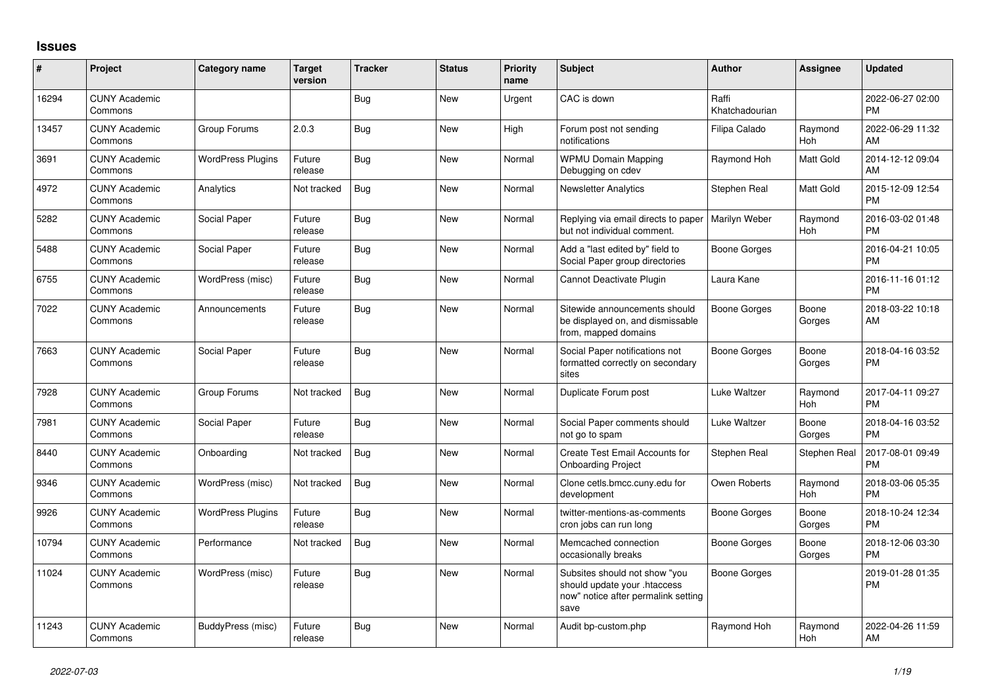## **Issues**

| #     | Project                         | Category name            | <b>Target</b><br>version | <b>Tracker</b> | <b>Status</b> | <b>Priority</b><br>name | <b>Subject</b>                                                                                               | Author                  | <b>Assignee</b>       | <b>Updated</b>                |
|-------|---------------------------------|--------------------------|--------------------------|----------------|---------------|-------------------------|--------------------------------------------------------------------------------------------------------------|-------------------------|-----------------------|-------------------------------|
| 16294 | <b>CUNY Academic</b><br>Commons |                          |                          | Bug            | <b>New</b>    | Urgent                  | CAC is down                                                                                                  | Raffi<br>Khatchadourian |                       | 2022-06-27 02:00<br><b>PM</b> |
| 13457 | <b>CUNY Academic</b><br>Commons | Group Forums             | 2.0.3                    | <b>Bug</b>     | <b>New</b>    | High                    | Forum post not sending<br>notifications                                                                      | Filipa Calado           | Raymond<br>Hoh        | 2022-06-29 11:32<br>AM        |
| 3691  | <b>CUNY Academic</b><br>Commons | <b>WordPress Plugins</b> | Future<br>release        | Bug            | <b>New</b>    | Normal                  | <b>WPMU Domain Mapping</b><br>Debugging on cdev                                                              | Raymond Hoh             | Matt Gold             | 2014-12-12 09:04<br>AM        |
| 4972  | <b>CUNY Academic</b><br>Commons | Analytics                | Not tracked              | Bug            | <b>New</b>    | Normal                  | <b>Newsletter Analytics</b>                                                                                  | Stephen Real            | Matt Gold             | 2015-12-09 12:54<br><b>PM</b> |
| 5282  | <b>CUNY Academic</b><br>Commons | Social Paper             | Future<br>release        | Bug            | <b>New</b>    | Normal                  | Replying via email directs to paper<br>but not individual comment.                                           | Marilyn Weber           | Raymond<br>Hoh        | 2016-03-02 01:48<br><b>PM</b> |
| 5488  | <b>CUNY Academic</b><br>Commons | Social Paper             | Future<br>release        | Bug            | <b>New</b>    | Normal                  | Add a "last edited by" field to<br>Social Paper group directories                                            | Boone Gorges            |                       | 2016-04-21 10:05<br><b>PM</b> |
| 6755  | <b>CUNY Academic</b><br>Commons | WordPress (misc)         | Future<br>release        | <b>Bug</b>     | <b>New</b>    | Normal                  | Cannot Deactivate Plugin                                                                                     | Laura Kane              |                       | 2016-11-16 01:12<br><b>PM</b> |
| 7022  | <b>CUNY Academic</b><br>Commons | Announcements            | Future<br>release        | Bug            | <b>New</b>    | Normal                  | Sitewide announcements should<br>be displayed on, and dismissable<br>from, mapped domains                    | <b>Boone Gorges</b>     | Boone<br>Gorges       | 2018-03-22 10:18<br>AM        |
| 7663  | <b>CUNY Academic</b><br>Commons | Social Paper             | Future<br>release        | Bug            | <b>New</b>    | Normal                  | Social Paper notifications not<br>formatted correctly on secondary<br>sites                                  | Boone Gorges            | Boone<br>Gorges       | 2018-04-16 03:52<br><b>PM</b> |
| 7928  | <b>CUNY Academic</b><br>Commons | Group Forums             | Not tracked              | Bug            | <b>New</b>    | Normal                  | Duplicate Forum post                                                                                         | Luke Waltzer            | Raymond<br>Hoh        | 2017-04-11 09:27<br><b>PM</b> |
| 7981  | <b>CUNY Academic</b><br>Commons | Social Paper             | Future<br>release        | Bug            | <b>New</b>    | Normal                  | Social Paper comments should<br>not go to spam                                                               | Luke Waltzer            | Boone<br>Gorges       | 2018-04-16 03:52<br><b>PM</b> |
| 8440  | <b>CUNY Academic</b><br>Commons | Onboarding               | Not tracked              | Bug            | <b>New</b>    | Normal                  | Create Test Email Accounts for<br><b>Onboarding Project</b>                                                  | Stephen Real            | Stephen Real          | 2017-08-01 09:49<br><b>PM</b> |
| 9346  | <b>CUNY Academic</b><br>Commons | WordPress (misc)         | Not tracked              | Bug            | <b>New</b>    | Normal                  | Clone cetls.bmcc.cuny.edu for<br>development                                                                 | Owen Roberts            | Raymond<br><b>Hoh</b> | 2018-03-06 05:35<br><b>PM</b> |
| 9926  | <b>CUNY Academic</b><br>Commons | <b>WordPress Plugins</b> | Future<br>release        | <b>Bug</b>     | <b>New</b>    | Normal                  | twitter-mentions-as-comments<br>cron jobs can run long                                                       | Boone Gorges            | Boone<br>Gorges       | 2018-10-24 12:34<br><b>PM</b> |
| 10794 | <b>CUNY Academic</b><br>Commons | Performance              | Not tracked              | Bug            | New           | Normal                  | Memcached connection<br>occasionally breaks                                                                  | Boone Gorges            | Boone<br>Gorges       | 2018-12-06 03:30<br><b>PM</b> |
| 11024 | <b>CUNY Academic</b><br>Commons | WordPress (misc)         | Future<br>release        | Bug            | <b>New</b>    | Normal                  | Subsites should not show "you<br>should update your .htaccess<br>now" notice after permalink setting<br>save | Boone Gorges            |                       | 2019-01-28 01:35<br><b>PM</b> |
| 11243 | <b>CUNY Academic</b><br>Commons | BuddyPress (misc)        | Future<br>release        | Bug            | <b>New</b>    | Normal                  | Audit bp-custom.php                                                                                          | Raymond Hoh             | Raymond<br>Hoh        | 2022-04-26 11:59<br>AM        |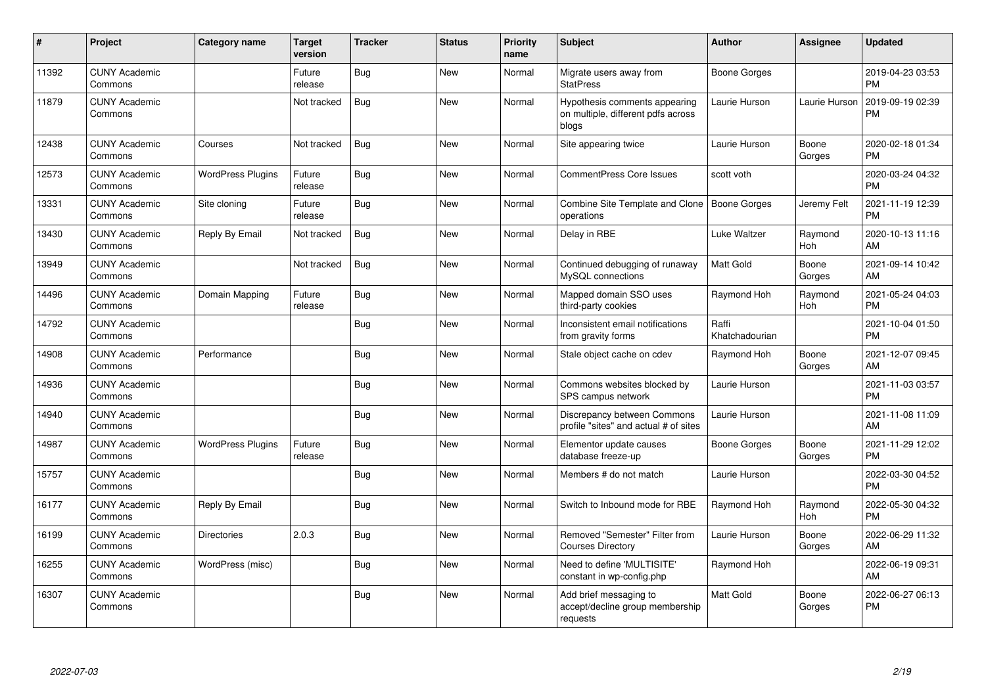| $\#$  | Project                         | <b>Category name</b>     | <b>Target</b><br>version | <b>Tracker</b> | <b>Status</b> | <b>Priority</b><br>name | <b>Subject</b>                                                               | <b>Author</b>           | Assignee        | <b>Updated</b>                |
|-------|---------------------------------|--------------------------|--------------------------|----------------|---------------|-------------------------|------------------------------------------------------------------------------|-------------------------|-----------------|-------------------------------|
| 11392 | <b>CUNY Academic</b><br>Commons |                          | Future<br>release        | Bug            | <b>New</b>    | Normal                  | Migrate users away from<br><b>StatPress</b>                                  | Boone Gorges            |                 | 2019-04-23 03:53<br><b>PM</b> |
| 11879 | <b>CUNY Academic</b><br>Commons |                          | Not tracked              | Bug            | <b>New</b>    | Normal                  | Hypothesis comments appearing<br>on multiple, different pdfs across<br>blogs | Laurie Hurson           | Laurie Hurson   | 2019-09-19 02:39<br><b>PM</b> |
| 12438 | <b>CUNY Academic</b><br>Commons | Courses                  | Not tracked              | Bug            | <b>New</b>    | Normal                  | Site appearing twice                                                         | Laurie Hurson           | Boone<br>Gorges | 2020-02-18 01:34<br><b>PM</b> |
| 12573 | <b>CUNY Academic</b><br>Commons | <b>WordPress Plugins</b> | Future<br>release        | <b>Bug</b>     | <b>New</b>    | Normal                  | <b>CommentPress Core Issues</b>                                              | scott voth              |                 | 2020-03-24 04:32<br><b>PM</b> |
| 13331 | <b>CUNY Academic</b><br>Commons | Site cloning             | Future<br>release        | Bug            | <b>New</b>    | Normal                  | Combine Site Template and Clone   Boone Gorges<br>operations                 |                         | Jeremy Felt     | 2021-11-19 12:39<br><b>PM</b> |
| 13430 | <b>CUNY Academic</b><br>Commons | Reply By Email           | Not tracked              | Bug            | <b>New</b>    | Normal                  | Delay in RBE                                                                 | Luke Waltzer            | Raymond<br>Hoh  | 2020-10-13 11:16<br>AM        |
| 13949 | <b>CUNY Academic</b><br>Commons |                          | Not tracked              | <b>Bug</b>     | <b>New</b>    | Normal                  | Continued debugging of runaway<br>MySQL connections                          | <b>Matt Gold</b>        | Boone<br>Gorges | 2021-09-14 10:42<br>AM        |
| 14496 | <b>CUNY Academic</b><br>Commons | Domain Mapping           | Future<br>release        | <b>Bug</b>     | <b>New</b>    | Normal                  | Mapped domain SSO uses<br>third-party cookies                                | Raymond Hoh             | Raymond<br>Hoh  | 2021-05-24 04:03<br><b>PM</b> |
| 14792 | <b>CUNY Academic</b><br>Commons |                          |                          | Bug            | <b>New</b>    | Normal                  | Inconsistent email notifications<br>from gravity forms                       | Raffi<br>Khatchadourian |                 | 2021-10-04 01:50<br><b>PM</b> |
| 14908 | <b>CUNY Academic</b><br>Commons | Performance              |                          | Bug            | <b>New</b>    | Normal                  | Stale object cache on cdev                                                   | Raymond Hoh             | Boone<br>Gorges | 2021-12-07 09:45<br>AM        |
| 14936 | <b>CUNY Academic</b><br>Commons |                          |                          | Bug            | <b>New</b>    | Normal                  | Commons websites blocked by<br>SPS campus network                            | Laurie Hurson           |                 | 2021-11-03 03:57<br><b>PM</b> |
| 14940 | <b>CUNY Academic</b><br>Commons |                          |                          | <b>Bug</b>     | <b>New</b>    | Normal                  | Discrepancy between Commons<br>profile "sites" and actual # of sites         | Laurie Hurson           |                 | 2021-11-08 11:09<br>AM        |
| 14987 | <b>CUNY Academic</b><br>Commons | <b>WordPress Plugins</b> | Future<br>release        | <b>Bug</b>     | <b>New</b>    | Normal                  | Elementor update causes<br>database freeze-up                                | Boone Gorges            | Boone<br>Gorges | 2021-11-29 12:02<br><b>PM</b> |
| 15757 | <b>CUNY Academic</b><br>Commons |                          |                          | Bug            | <b>New</b>    | Normal                  | Members # do not match                                                       | Laurie Hurson           |                 | 2022-03-30 04:52<br><b>PM</b> |
| 16177 | <b>CUNY Academic</b><br>Commons | Reply By Email           |                          | Bug            | <b>New</b>    | Normal                  | Switch to Inbound mode for RBE                                               | Raymond Hoh             | Raymond<br>Hoh  | 2022-05-30 04:32<br><b>PM</b> |
| 16199 | <b>CUNY Academic</b><br>Commons | <b>Directories</b>       | 2.0.3                    | <b>Bug</b>     | <b>New</b>    | Normal                  | Removed "Semester" Filter from<br><b>Courses Directory</b>                   | Laurie Hurson           | Boone<br>Gorges | 2022-06-29 11:32<br>AM        |
| 16255 | <b>CUNY Academic</b><br>Commons | WordPress (misc)         |                          | <b>Bug</b>     | <b>New</b>    | Normal                  | Need to define 'MULTISITE'<br>constant in wp-config.php                      | Raymond Hoh             |                 | 2022-06-19 09:31<br>AM        |
| 16307 | <b>CUNY Academic</b><br>Commons |                          |                          | Bug            | <b>New</b>    | Normal                  | Add brief messaging to<br>accept/decline group membership<br>requests        | Matt Gold               | Boone<br>Gorges | 2022-06-27 06:13<br><b>PM</b> |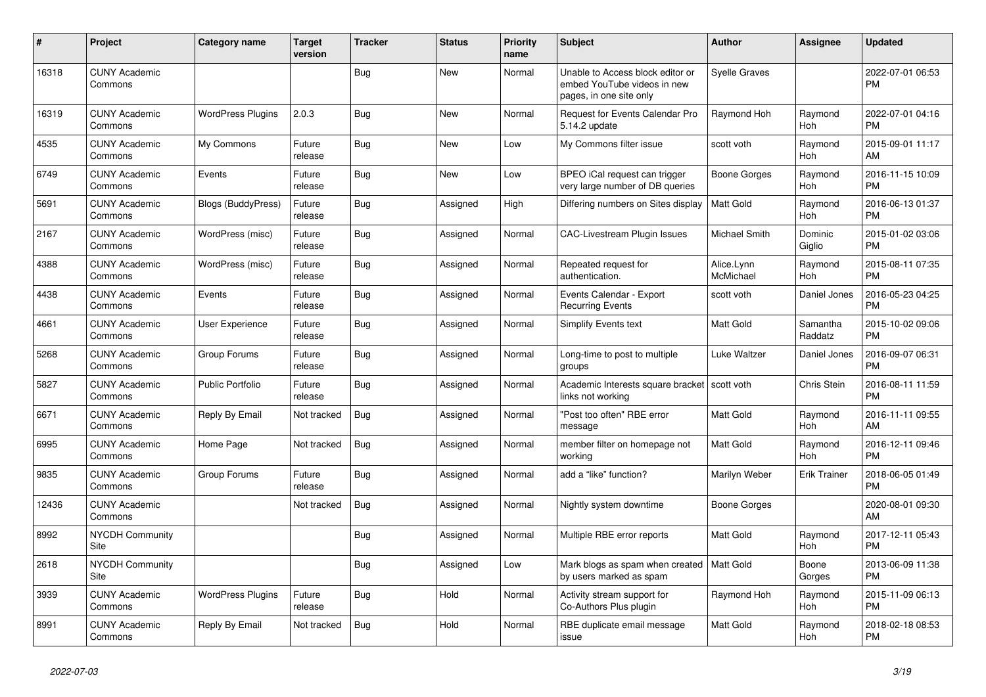| #     | Project                         | <b>Category name</b>      | <b>Target</b><br>version | <b>Tracker</b> | <b>Status</b> | <b>Priority</b><br>name | <b>Subject</b>                                                                             | <b>Author</b>           | <b>Assignee</b>     | <b>Updated</b>                |
|-------|---------------------------------|---------------------------|--------------------------|----------------|---------------|-------------------------|--------------------------------------------------------------------------------------------|-------------------------|---------------------|-------------------------------|
| 16318 | <b>CUNY Academic</b><br>Commons |                           |                          | Bug            | New           | Normal                  | Unable to Access block editor or<br>embed YouTube videos in new<br>pages, in one site only | <b>Syelle Graves</b>    |                     | 2022-07-01 06:53<br><b>PM</b> |
| 16319 | <b>CUNY Academic</b><br>Commons | <b>WordPress Plugins</b>  | 2.0.3                    | Bug            | New           | Normal                  | Request for Events Calendar Pro<br>5.14.2 update                                           | Raymond Hoh             | Raymond<br>Hoh      | 2022-07-01 04:16<br><b>PM</b> |
| 4535  | <b>CUNY Academic</b><br>Commons | My Commons                | Future<br>release        | Bug            | New           | Low                     | My Commons filter issue                                                                    | scott voth              | Raymond<br>Hoh      | 2015-09-01 11:17<br>AM        |
| 6749  | <b>CUNY Academic</b><br>Commons | Events                    | Future<br>release        | Bug            | New           | Low                     | BPEO iCal request can trigger<br>very large number of DB queries                           | Boone Gorges            | Raymond<br>Hoh      | 2016-11-15 10:09<br><b>PM</b> |
| 5691  | <b>CUNY Academic</b><br>Commons | <b>Blogs (BuddyPress)</b> | Future<br>release        | Bug            | Assigned      | High                    | Differing numbers on Sites display                                                         | <b>Matt Gold</b>        | Raymond<br>Hoh      | 2016-06-13 01:37<br><b>PM</b> |
| 2167  | <b>CUNY Academic</b><br>Commons | WordPress (misc)          | Future<br>release        | Bug            | Assigned      | Normal                  | <b>CAC-Livestream Plugin Issues</b>                                                        | Michael Smith           | Dominic<br>Giglio   | 2015-01-02 03:06<br><b>PM</b> |
| 4388  | <b>CUNY Academic</b><br>Commons | WordPress (misc)          | Future<br>release        | Bug            | Assigned      | Normal                  | Repeated request for<br>authentication.                                                    | Alice.Lynn<br>McMichael | Raymond<br>Hoh      | 2015-08-11 07:35<br><b>PM</b> |
| 4438  | <b>CUNY Academic</b><br>Commons | Events                    | Future<br>release        | Bug            | Assigned      | Normal                  | Events Calendar - Export<br><b>Recurring Events</b>                                        | scott voth              | Daniel Jones        | 2016-05-23 04:25<br><b>PM</b> |
| 4661  | <b>CUNY Academic</b><br>Commons | <b>User Experience</b>    | Future<br>release        | <b>Bug</b>     | Assigned      | Normal                  | <b>Simplify Events text</b>                                                                | <b>Matt Gold</b>        | Samantha<br>Raddatz | 2015-10-02 09:06<br><b>PM</b> |
| 5268  | <b>CUNY Academic</b><br>Commons | Group Forums              | Future<br>release        | Bug            | Assigned      | Normal                  | Long-time to post to multiple<br>groups                                                    | Luke Waltzer            | Daniel Jones        | 2016-09-07 06:31<br><b>PM</b> |
| 5827  | <b>CUNY Academic</b><br>Commons | <b>Public Portfolio</b>   | Future<br>release        | Bug            | Assigned      | Normal                  | Academic Interests square bracket   scott voth<br>links not working                        |                         | Chris Stein         | 2016-08-11 11:59<br><b>PM</b> |
| 6671  | <b>CUNY Academic</b><br>Commons | Reply By Email            | Not tracked              | Bug            | Assigned      | Normal                  | "Post too often" RBE error<br>message                                                      | <b>Matt Gold</b>        | Raymond<br>Hoh      | 2016-11-11 09:55<br>AM        |
| 6995  | <b>CUNY Academic</b><br>Commons | Home Page                 | Not tracked              | <b>Bug</b>     | Assigned      | Normal                  | member filter on homepage not<br>working                                                   | <b>Matt Gold</b>        | Raymond<br>Hoh      | 2016-12-11 09:46<br><b>PM</b> |
| 9835  | <b>CUNY Academic</b><br>Commons | Group Forums              | Future<br>release        | Bug            | Assigned      | Normal                  | add a "like" function?                                                                     | Marilyn Weber           | <b>Erik Trainer</b> | 2018-06-05 01:49<br><b>PM</b> |
| 12436 | <b>CUNY Academic</b><br>Commons |                           | Not tracked              | <b>Bug</b>     | Assigned      | Normal                  | Nightly system downtime                                                                    | Boone Gorges            |                     | 2020-08-01 09:30<br>AM        |
| 8992  | <b>NYCDH Community</b><br>Site  |                           |                          | Bug            | Assigned      | Normal                  | Multiple RBE error reports                                                                 | <b>Matt Gold</b>        | Raymond<br>Hoh      | 2017-12-11 05:43<br><b>PM</b> |
| 2618  | <b>NYCDH Community</b><br>Site  |                           |                          | Bug            | Assigned      | Low                     | Mark blogs as spam when created   Matt Gold<br>by users marked as spam                     |                         | Boone<br>Gorges     | 2013-06-09 11:38<br><b>PM</b> |
| 3939  | <b>CUNY Academic</b><br>Commons | <b>WordPress Plugins</b>  | Future<br>release        | Bug            | Hold          | Normal                  | Activity stream support for<br>Co-Authors Plus plugin                                      | Raymond Hoh             | Raymond<br>Hoh      | 2015-11-09 06:13<br><b>PM</b> |
| 8991  | <b>CUNY Academic</b><br>Commons | Reply By Email            | Not tracked              | Bug            | Hold          | Normal                  | RBE duplicate email message<br>issue                                                       | <b>Matt Gold</b>        | Raymond<br>Hoh      | 2018-02-18 08:53<br><b>PM</b> |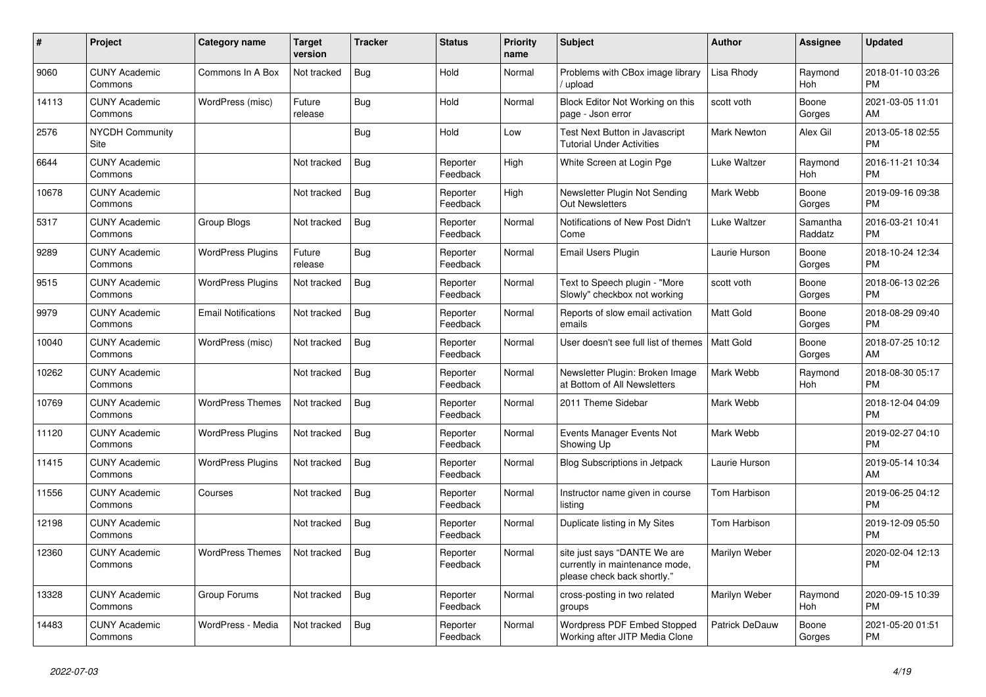| #     | <b>Project</b>                  | Category name              | <b>Target</b><br>version | <b>Tracker</b> | <b>Status</b>        | <b>Priority</b><br>name | <b>Subject</b>                                                                                | <b>Author</b>         | Assignee            | <b>Updated</b>                |
|-------|---------------------------------|----------------------------|--------------------------|----------------|----------------------|-------------------------|-----------------------------------------------------------------------------------------------|-----------------------|---------------------|-------------------------------|
| 9060  | <b>CUNY Academic</b><br>Commons | Commons In A Box           | Not tracked              | Bug            | Hold                 | Normal                  | Problems with CBox image library<br>/ upload                                                  | Lisa Rhody            | Raymond<br>Hoh      | 2018-01-10 03:26<br><b>PM</b> |
| 14113 | <b>CUNY Academic</b><br>Commons | WordPress (misc)           | Future<br>release        | Bug            | Hold                 | Normal                  | Block Editor Not Working on this<br>page - Json error                                         | scott voth            | Boone<br>Gorges     | 2021-03-05 11:01<br>AM.       |
| 2576  | <b>NYCDH Community</b><br>Site  |                            |                          | Bug            | Hold                 | Low                     | Test Next Button in Javascript<br><b>Tutorial Under Activities</b>                            | Mark Newton           | Alex Gil            | 2013-05-18 02:55<br><b>PM</b> |
| 6644  | <b>CUNY Academic</b><br>Commons |                            | Not tracked              | Bug            | Reporter<br>Feedback | High                    | White Screen at Login Pge                                                                     | Luke Waltzer          | Raymond<br>Hoh      | 2016-11-21 10:34<br><b>PM</b> |
| 10678 | <b>CUNY Academic</b><br>Commons |                            | Not tracked              | Bug            | Reporter<br>Feedback | High                    | Newsletter Plugin Not Sending<br>Out Newsletters                                              | Mark Webb             | Boone<br>Gorges     | 2019-09-16 09:38<br><b>PM</b> |
| 5317  | <b>CUNY Academic</b><br>Commons | <b>Group Blogs</b>         | Not tracked              | <b>Bug</b>     | Reporter<br>Feedback | Normal                  | Notifications of New Post Didn't<br>Come                                                      | Luke Waltzer          | Samantha<br>Raddatz | 2016-03-21 10:41<br><b>PM</b> |
| 9289  | <b>CUNY Academic</b><br>Commons | <b>WordPress Plugins</b>   | Future<br>release        | <b>Bug</b>     | Reporter<br>Feedback | Normal                  | Email Users Plugin                                                                            | Laurie Hurson         | Boone<br>Gorges     | 2018-10-24 12:34<br><b>PM</b> |
| 9515  | <b>CUNY Academic</b><br>Commons | <b>WordPress Plugins</b>   | Not tracked              | Bug            | Reporter<br>Feedback | Normal                  | Text to Speech plugin - "More<br>Slowly" checkbox not working                                 | scott voth            | Boone<br>Gorges     | 2018-06-13 02:26<br><b>PM</b> |
| 9979  | <b>CUNY Academic</b><br>Commons | <b>Email Notifications</b> | Not tracked              | <b>Bug</b>     | Reporter<br>Feedback | Normal                  | Reports of slow email activation<br>emails                                                    | Matt Gold             | Boone<br>Gorges     | 2018-08-29 09:40<br><b>PM</b> |
| 10040 | <b>CUNY Academic</b><br>Commons | WordPress (misc)           | Not tracked              | Bug            | Reporter<br>Feedback | Normal                  | User doesn't see full list of themes                                                          | <b>Matt Gold</b>      | Boone<br>Gorges     | 2018-07-25 10:12<br><b>AM</b> |
| 10262 | <b>CUNY Academic</b><br>Commons |                            | Not tracked              | <b>Bug</b>     | Reporter<br>Feedback | Normal                  | Newsletter Plugin: Broken Image<br>at Bottom of All Newsletters                               | Mark Webb             | Raymond<br>Hoh      | 2018-08-30 05:17<br><b>PM</b> |
| 10769 | <b>CUNY Academic</b><br>Commons | <b>WordPress Themes</b>    | Not tracked              | <b>Bug</b>     | Reporter<br>Feedback | Normal                  | 2011 Theme Sidebar                                                                            | Mark Webb             |                     | 2018-12-04 04:09<br><b>PM</b> |
| 11120 | <b>CUNY Academic</b><br>Commons | <b>WordPress Plugins</b>   | Not tracked              | Bug            | Reporter<br>Feedback | Normal                  | Events Manager Events Not<br>Showing Up                                                       | Mark Webb             |                     | 2019-02-27 04:10<br><b>PM</b> |
| 11415 | <b>CUNY Academic</b><br>Commons | <b>WordPress Plugins</b>   | Not tracked              | Bug            | Reporter<br>Feedback | Normal                  | <b>Blog Subscriptions in Jetpack</b>                                                          | Laurie Hurson         |                     | 2019-05-14 10:34<br>AM        |
| 11556 | <b>CUNY Academic</b><br>Commons | Courses                    | Not tracked              | Bug            | Reporter<br>Feedback | Normal                  | Instructor name given in course<br>listing                                                    | Tom Harbison          |                     | 2019-06-25 04:12<br><b>PM</b> |
| 12198 | <b>CUNY Academic</b><br>Commons |                            | Not tracked              | <b>Bug</b>     | Reporter<br>Feedback | Normal                  | Duplicate listing in My Sites                                                                 | Tom Harbison          |                     | 2019-12-09 05:50<br><b>PM</b> |
| 12360 | <b>CUNY Academic</b><br>Commons | <b>WordPress Themes</b>    | Not tracked              | <b>Bug</b>     | Reporter<br>Feedback | Normal                  | site just says "DANTE We are<br>currently in maintenance mode,<br>please check back shortly." | Marilyn Weber         |                     | 2020-02-04 12:13<br><b>PM</b> |
| 13328 | <b>CUNY Academic</b><br>Commons | Group Forums               | Not tracked              | Bug            | Reporter<br>Feedback | Normal                  | cross-posting in two related<br>groups                                                        | Marilyn Weber         | Raymond<br>Hoh      | 2020-09-15 10:39<br><b>PM</b> |
| 14483 | <b>CUNY Academic</b><br>Commons | WordPress - Media          | Not tracked              | Bug            | Reporter<br>Feedback | Normal                  | Wordpress PDF Embed Stopped<br>Working after JITP Media Clone                                 | <b>Patrick DeDauw</b> | Boone<br>Gorges     | 2021-05-20 01:51<br><b>PM</b> |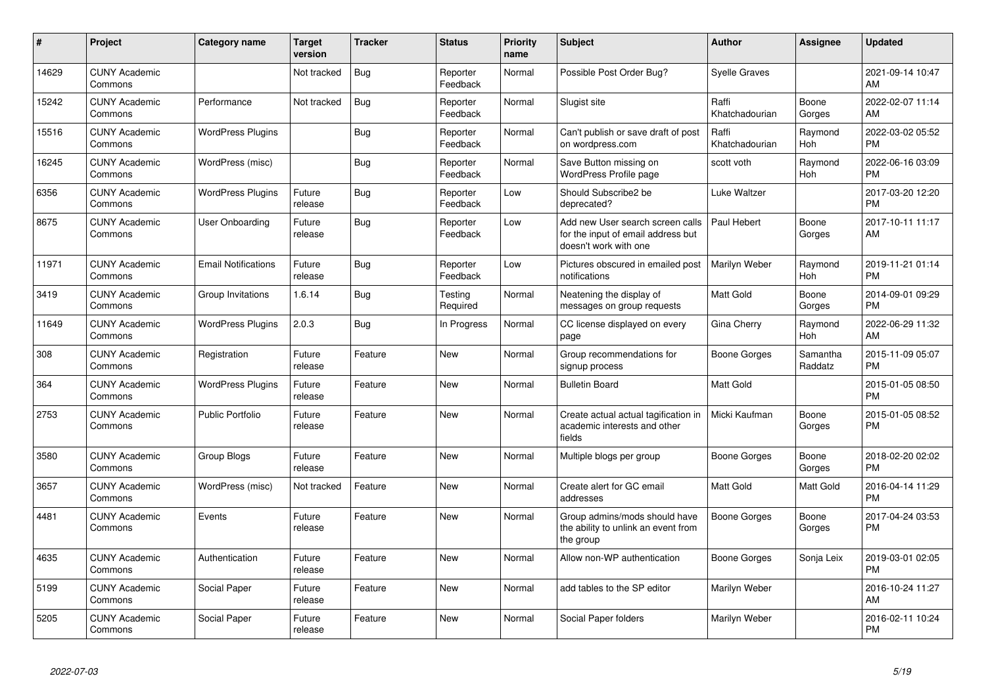| #     | Project                         | <b>Category name</b>       | <b>Target</b><br>version | <b>Tracker</b> | <b>Status</b>        | <b>Priority</b><br>name | <b>Subject</b>                                                                                  | Author                  | <b>Assignee</b>     | <b>Updated</b>                |
|-------|---------------------------------|----------------------------|--------------------------|----------------|----------------------|-------------------------|-------------------------------------------------------------------------------------------------|-------------------------|---------------------|-------------------------------|
| 14629 | <b>CUNY Academic</b><br>Commons |                            | Not tracked              | <b>Bug</b>     | Reporter<br>Feedback | Normal                  | Possible Post Order Bug?                                                                        | Svelle Graves           |                     | 2021-09-14 10:47<br>AM        |
| 15242 | <b>CUNY Academic</b><br>Commons | Performance                | Not tracked              | Bug            | Reporter<br>Feedback | Normal                  | Slugist site                                                                                    | Raffi<br>Khatchadourian | Boone<br>Gorges     | 2022-02-07 11:14<br>AM        |
| 15516 | <b>CUNY Academic</b><br>Commons | <b>WordPress Plugins</b>   |                          | <b>Bug</b>     | Reporter<br>Feedback | Normal                  | Can't publish or save draft of post<br>on wordpress.com                                         | Raffi<br>Khatchadourian | Raymond<br>Hoh      | 2022-03-02 05:52<br><b>PM</b> |
| 16245 | <b>CUNY Academic</b><br>Commons | WordPress (misc)           |                          | Bug            | Reporter<br>Feedback | Normal                  | Save Button missing on<br><b>WordPress Profile page</b>                                         | scott voth              | Raymond<br>Hoh      | 2022-06-16 03:09<br><b>PM</b> |
| 6356  | <b>CUNY Academic</b><br>Commons | <b>WordPress Plugins</b>   | Future<br>release        | <b>Bug</b>     | Reporter<br>Feedback | Low                     | Should Subscribe2 be<br>deprecated?                                                             | Luke Waltzer            |                     | 2017-03-20 12:20<br><b>PM</b> |
| 8675  | <b>CUNY Academic</b><br>Commons | <b>User Onboarding</b>     | Future<br>release        | <b>Bug</b>     | Reporter<br>Feedback | Low                     | Add new User search screen calls<br>for the input of email address but<br>doesn't work with one | Paul Hebert             | Boone<br>Gorges     | 2017-10-11 11:17<br>AM        |
| 11971 | <b>CUNY Academic</b><br>Commons | <b>Email Notifications</b> | Future<br>release        | Bug            | Reporter<br>Feedback | Low                     | Pictures obscured in emailed post<br>notifications                                              | Marilyn Weber           | Raymond<br>Hoh      | 2019-11-21 01:14<br><b>PM</b> |
| 3419  | <b>CUNY Academic</b><br>Commons | Group Invitations          | 1.6.14                   | Bug            | Testing<br>Required  | Normal                  | Neatening the display of<br>messages on group requests                                          | Matt Gold               | Boone<br>Gorges     | 2014-09-01 09:29<br><b>PM</b> |
| 11649 | <b>CUNY Academic</b><br>Commons | <b>WordPress Plugins</b>   | 2.0.3                    | Bug            | In Progress          | Normal                  | CC license displayed on every<br>page                                                           | Gina Cherry             | Raymond<br>Hoh      | 2022-06-29 11:32<br>AM        |
| 308   | <b>CUNY Academic</b><br>Commons | Registration               | Future<br>release        | Feature        | New                  | Normal                  | Group recommendations for<br>signup process                                                     | Boone Gorges            | Samantha<br>Raddatz | 2015-11-09 05:07<br><b>PM</b> |
| 364   | <b>CUNY Academic</b><br>Commons | <b>WordPress Plugins</b>   | Future<br>release        | Feature        | <b>New</b>           | Normal                  | <b>Bulletin Board</b>                                                                           | <b>Matt Gold</b>        |                     | 2015-01-05 08:50<br><b>PM</b> |
| 2753  | <b>CUNY Academic</b><br>Commons | <b>Public Portfolio</b>    | Future<br>release        | Feature        | <b>New</b>           | Normal                  | Create actual actual tagification in<br>academic interests and other<br>fields                  | Micki Kaufman           | Boone<br>Gorges     | 2015-01-05 08:52<br><b>PM</b> |
| 3580  | <b>CUNY Academic</b><br>Commons | Group Blogs                | Future<br>release        | Feature        | <b>New</b>           | Normal                  | Multiple blogs per group                                                                        | Boone Gorges            | Boone<br>Gorges     | 2018-02-20 02:02<br><b>PM</b> |
| 3657  | <b>CUNY Academic</b><br>Commons | WordPress (misc)           | Not tracked              | Feature        | <b>New</b>           | Normal                  | Create alert for GC email<br>addresses                                                          | Matt Gold               | Matt Gold           | 2016-04-14 11:29<br><b>PM</b> |
| 4481  | <b>CUNY Academic</b><br>Commons | Events                     | Future<br>release        | Feature        | <b>New</b>           | Normal                  | Group admins/mods should have<br>the ability to unlink an event from<br>the group               | Boone Gorges            | Boone<br>Gorges     | 2017-04-24 03:53<br>PM        |
| 4635  | <b>CUNY Academic</b><br>Commons | Authentication             | Future<br>release        | Feature        | <b>New</b>           | Normal                  | Allow non-WP authentication                                                                     | Boone Gorges            | Sonja Leix          | 2019-03-01 02:05<br><b>PM</b> |
| 5199  | <b>CUNY Academic</b><br>Commons | Social Paper               | Future<br>release        | Feature        | <b>New</b>           | Normal                  | add tables to the SP editor                                                                     | Marilyn Weber           |                     | 2016-10-24 11:27<br>AM        |
| 5205  | <b>CUNY Academic</b><br>Commons | Social Paper               | Future<br>release        | Feature        | <b>New</b>           | Normal                  | Social Paper folders                                                                            | Marilyn Weber           |                     | 2016-02-11 10:24<br><b>PM</b> |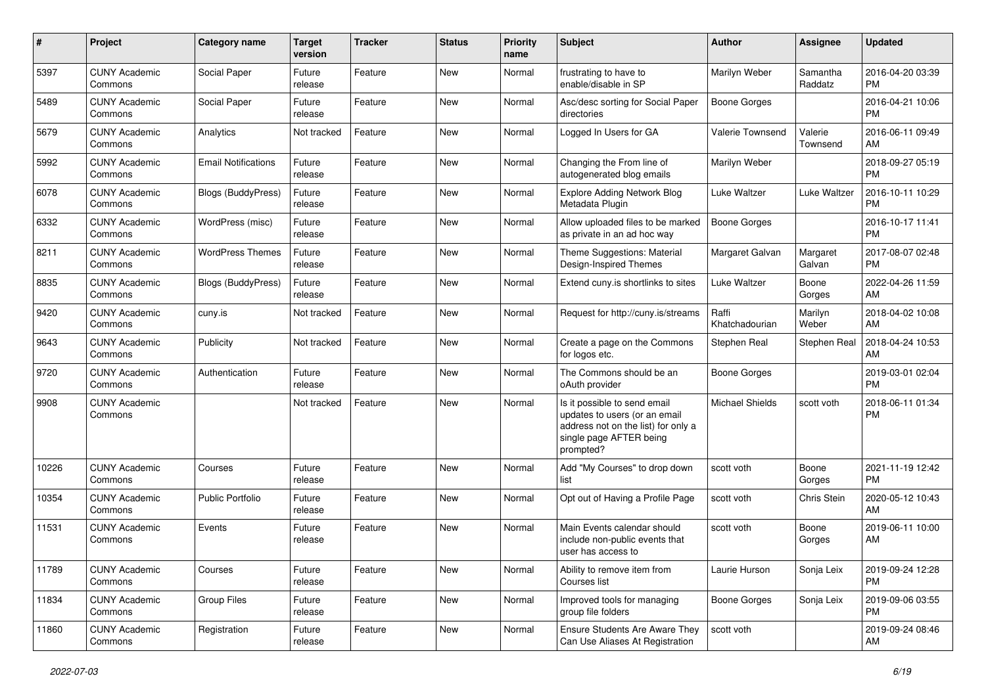| #     | Project                         | <b>Category name</b>       | <b>Target</b><br>version | <b>Tracker</b> | <b>Status</b> | <b>Priority</b><br>name | <b>Subject</b>                                                                                                                               | <b>Author</b>           | <b>Assignee</b>     | <b>Updated</b>                |
|-------|---------------------------------|----------------------------|--------------------------|----------------|---------------|-------------------------|----------------------------------------------------------------------------------------------------------------------------------------------|-------------------------|---------------------|-------------------------------|
| 5397  | <b>CUNY Academic</b><br>Commons | Social Paper               | Future<br>release        | Feature        | <b>New</b>    | Normal                  | frustrating to have to<br>enable/disable in SP                                                                                               | Marilyn Weber           | Samantha<br>Raddatz | 2016-04-20 03:39<br><b>PM</b> |
| 5489  | <b>CUNY Academic</b><br>Commons | Social Paper               | Future<br>release        | Feature        | New           | Normal                  | Asc/desc sorting for Social Paper<br>directories                                                                                             | <b>Boone Gorges</b>     |                     | 2016-04-21 10:06<br><b>PM</b> |
| 5679  | <b>CUNY Academic</b><br>Commons | Analytics                  | Not tracked              | Feature        | New           | Normal                  | Logged In Users for GA                                                                                                                       | Valerie Townsend        | Valerie<br>Townsend | 2016-06-11 09:49<br>AM        |
| 5992  | <b>CUNY Academic</b><br>Commons | <b>Email Notifications</b> | Future<br>release        | Feature        | <b>New</b>    | Normal                  | Changing the From line of<br>autogenerated blog emails                                                                                       | Marilyn Weber           |                     | 2018-09-27 05:19<br>PM        |
| 6078  | <b>CUNY Academic</b><br>Commons | <b>Blogs (BuddyPress)</b>  | Future<br>release        | Feature        | New           | Normal                  | <b>Explore Adding Network Blog</b><br>Metadata Plugin                                                                                        | Luke Waltzer            | Luke Waltzer        | 2016-10-11 10:29<br><b>PM</b> |
| 6332  | <b>CUNY Academic</b><br>Commons | WordPress (misc)           | Future<br>release        | Feature        | New           | Normal                  | Allow uploaded files to be marked<br>as private in an ad hoc way                                                                             | Boone Gorges            |                     | 2016-10-17 11:41<br><b>PM</b> |
| 8211  | <b>CUNY Academic</b><br>Commons | <b>WordPress Themes</b>    | Future<br>release        | Feature        | New           | Normal                  | Theme Suggestions: Material<br>Design-Inspired Themes                                                                                        | Margaret Galvan         | Margaret<br>Galvan  | 2017-08-07 02:48<br><b>PM</b> |
| 8835  | <b>CUNY Academic</b><br>Commons | <b>Blogs (BuddyPress)</b>  | Future<br>release        | Feature        | <b>New</b>    | Normal                  | Extend cuny is shortlinks to sites                                                                                                           | Luke Waltzer            | Boone<br>Gorges     | 2022-04-26 11:59<br>AM.       |
| 9420  | <b>CUNY Academic</b><br>Commons | cuny.is                    | Not tracked              | Feature        | New           | Normal                  | Request for http://cuny.is/streams                                                                                                           | Raffi<br>Khatchadourian | Marilyn<br>Weber    | 2018-04-02 10:08<br>AM.       |
| 9643  | <b>CUNY Academic</b><br>Commons | Publicity                  | Not tracked              | Feature        | <b>New</b>    | Normal                  | Create a page on the Commons<br>for logos etc.                                                                                               | Stephen Real            | Stephen Real        | 2018-04-24 10:53<br>AM        |
| 9720  | <b>CUNY Academic</b><br>Commons | Authentication             | Future<br>release        | Feature        | <b>New</b>    | Normal                  | The Commons should be an<br>oAuth provider                                                                                                   | Boone Gorges            |                     | 2019-03-01 02:04<br><b>PM</b> |
| 9908  | <b>CUNY Academic</b><br>Commons |                            | Not tracked              | Feature        | <b>New</b>    | Normal                  | Is it possible to send email<br>updates to users (or an email<br>address not on the list) for only a<br>single page AFTER being<br>prompted? | <b>Michael Shields</b>  | scott voth          | 2018-06-11 01:34<br><b>PM</b> |
| 10226 | <b>CUNY Academic</b><br>Commons | Courses                    | Future<br>release        | Feature        | New           | Normal                  | Add "My Courses" to drop down<br>list                                                                                                        | scott voth              | Boone<br>Gorges     | 2021-11-19 12:42<br>PM.       |
| 10354 | <b>CUNY Academic</b><br>Commons | <b>Public Portfolio</b>    | Future<br>release        | Feature        | <b>New</b>    | Normal                  | Opt out of Having a Profile Page                                                                                                             | scott voth              | Chris Stein         | 2020-05-12 10:43<br>AM        |
| 11531 | <b>CUNY Academic</b><br>Commons | Events                     | Future<br>release        | Feature        | New           | Normal                  | Main Events calendar should<br>include non-public events that<br>user has access to                                                          | scott voth              | Boone<br>Gorges     | 2019-06-11 10:00<br>AM        |
| 11789 | <b>CUNY Academic</b><br>Commons | Courses                    | Future<br>release        | Feature        | New           | Normal                  | Ability to remove item from<br>Courses list                                                                                                  | Laurie Hurson           | Sonja Leix          | 2019-09-24 12:28<br><b>PM</b> |
| 11834 | <b>CUNY Academic</b><br>Commons | Group Files                | Future<br>release        | Feature        | New           | Normal                  | Improved tools for managing<br>group file folders                                                                                            | Boone Gorges            | Sonja Leix          | 2019-09-06 03:55<br><b>PM</b> |
| 11860 | <b>CUNY Academic</b><br>Commons | Registration               | Future<br>release        | Feature        | New           | Normal                  | Ensure Students Are Aware They<br>Can Use Aliases At Registration                                                                            | scott voth              |                     | 2019-09-24 08:46<br>AM        |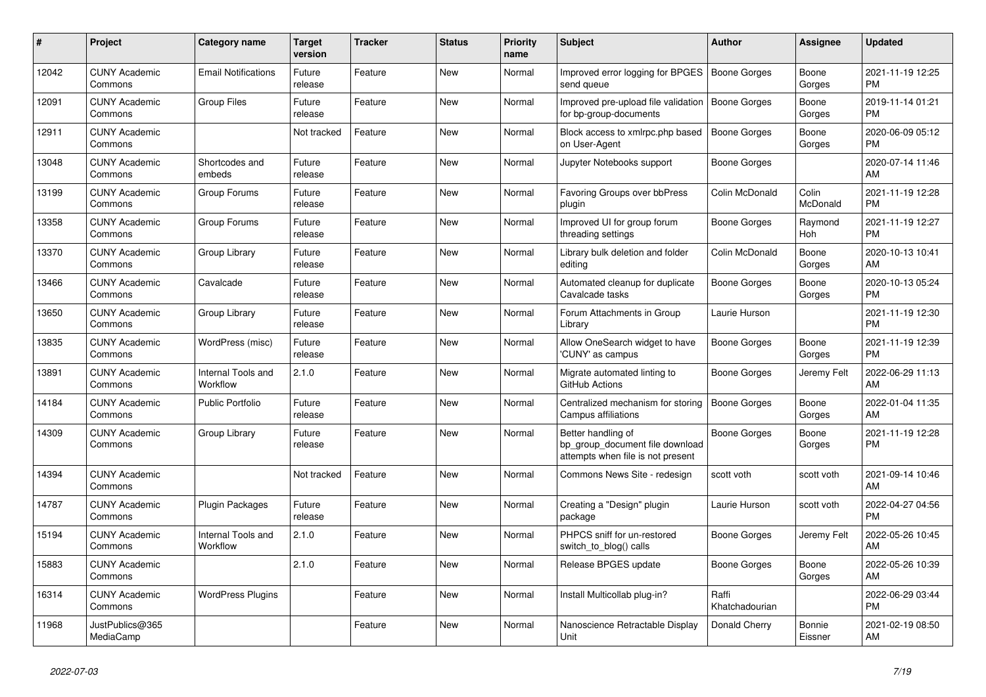| #     | <b>Project</b>                  | <b>Category name</b>           | <b>Target</b><br>version | <b>Tracker</b> | <b>Status</b> | <b>Priority</b><br>name | <b>Subject</b>                                                                             | <b>Author</b>           | <b>Assignee</b>       | <b>Updated</b>                |
|-------|---------------------------------|--------------------------------|--------------------------|----------------|---------------|-------------------------|--------------------------------------------------------------------------------------------|-------------------------|-----------------------|-------------------------------|
| 12042 | <b>CUNY Academic</b><br>Commons | <b>Email Notifications</b>     | Future<br>release        | Feature        | <b>New</b>    | Normal                  | Improved error logging for BPGES<br>send queue                                             | Boone Gorges            | Boone<br>Gorges       | 2021-11-19 12:25<br><b>PM</b> |
| 12091 | <b>CUNY Academic</b><br>Commons | <b>Group Files</b>             | Future<br>release        | Feature        | New           | Normal                  | Improved pre-upload file validation<br>for bp-group-documents                              | <b>Boone Gorges</b>     | Boone<br>Gorges       | 2019-11-14 01:21<br>PM        |
| 12911 | <b>CUNY Academic</b><br>Commons |                                | Not tracked              | Feature        | <b>New</b>    | Normal                  | Block access to xmlrpc.php based<br>on User-Agent                                          | Boone Gorges            | Boone<br>Gorges       | 2020-06-09 05:12<br><b>PM</b> |
| 13048 | <b>CUNY Academic</b><br>Commons | Shortcodes and<br>embeds       | Future<br>release        | Feature        | <b>New</b>    | Normal                  | Jupyter Notebooks support                                                                  | Boone Gorges            |                       | 2020-07-14 11:46<br>AM        |
| 13199 | <b>CUNY Academic</b><br>Commons | Group Forums                   | Future<br>release        | Feature        | New           | Normal                  | Favoring Groups over bbPress<br>plugin                                                     | Colin McDonald          | Colin<br>McDonald     | 2021-11-19 12:28<br><b>PM</b> |
| 13358 | <b>CUNY Academic</b><br>Commons | Group Forums                   | Future<br>release        | Feature        | New           | Normal                  | Improved UI for group forum<br>threading settings                                          | Boone Gorges            | Raymond<br><b>Hoh</b> | 2021-11-19 12:27<br><b>PM</b> |
| 13370 | <b>CUNY Academic</b><br>Commons | Group Library                  | Future<br>release        | Feature        | <b>New</b>    | Normal                  | Library bulk deletion and folder<br>editing                                                | Colin McDonald          | Boone<br>Gorges       | 2020-10-13 10:41<br>AM        |
| 13466 | <b>CUNY Academic</b><br>Commons | Cavalcade                      | Future<br>release        | Feature        | <b>New</b>    | Normal                  | Automated cleanup for duplicate<br>Cavalcade tasks                                         | Boone Gorges            | Boone<br>Gorges       | 2020-10-13 05:24<br><b>PM</b> |
| 13650 | <b>CUNY Academic</b><br>Commons | Group Library                  | Future<br>release        | Feature        | New           | Normal                  | Forum Attachments in Group<br>Library                                                      | Laurie Hurson           |                       | 2021-11-19 12:30<br><b>PM</b> |
| 13835 | <b>CUNY Academic</b><br>Commons | WordPress (misc)               | Future<br>release        | Feature        | <b>New</b>    | Normal                  | Allow OneSearch widget to have<br>'CUNY' as campus                                         | <b>Boone Gorges</b>     | Boone<br>Gorges       | 2021-11-19 12:39<br><b>PM</b> |
| 13891 | <b>CUNY Academic</b><br>Commons | Internal Tools and<br>Workflow | 2.1.0                    | Feature        | <b>New</b>    | Normal                  | Migrate automated linting to<br>GitHub Actions                                             | Boone Gorges            | Jeremy Felt           | 2022-06-29 11:13<br>AM        |
| 14184 | <b>CUNY Academic</b><br>Commons | <b>Public Portfolio</b>        | Future<br>release        | Feature        | New           | Normal                  | Centralized mechanism for storing<br>Campus affiliations                                   | Boone Gorges            | Boone<br>Gorges       | 2022-01-04 11:35<br>AM        |
| 14309 | <b>CUNY Academic</b><br>Commons | Group Library                  | Future<br>release        | Feature        | <b>New</b>    | Normal                  | Better handling of<br>bp group document file download<br>attempts when file is not present | Boone Gorges            | Boone<br>Gorges       | 2021-11-19 12:28<br><b>PM</b> |
| 14394 | <b>CUNY Academic</b><br>Commons |                                | Not tracked              | Feature        | <b>New</b>    | Normal                  | Commons News Site - redesign                                                               | scott voth              | scott voth            | 2021-09-14 10:46<br>AM        |
| 14787 | <b>CUNY Academic</b><br>Commons | <b>Plugin Packages</b>         | Future<br>release        | Feature        | New           | Normal                  | Creating a "Design" plugin<br>package                                                      | Laurie Hurson           | scott voth            | 2022-04-27 04:56<br><b>PM</b> |
| 15194 | <b>CUNY Academic</b><br>Commons | Internal Tools and<br>Workflow | 2.1.0                    | Feature        | <b>New</b>    | Normal                  | PHPCS sniff for un-restored<br>switch_to_blog() calls                                      | Boone Gorges            | Jeremy Felt           | 2022-05-26 10:45<br>AM        |
| 15883 | <b>CUNY Academic</b><br>Commons |                                | 2.1.0                    | Feature        | New           | Normal                  | Release BPGES update                                                                       | Boone Gorges            | Boone<br>Gorges       | 2022-05-26 10:39<br>AM        |
| 16314 | <b>CUNY Academic</b><br>Commons | <b>WordPress Plugins</b>       |                          | Feature        | New           | Normal                  | Install Multicollab plug-in?                                                               | Raffi<br>Khatchadourian |                       | 2022-06-29 03:44<br><b>PM</b> |
| 11968 | JustPublics@365<br>MediaCamp    |                                |                          | Feature        | <b>New</b>    | Normal                  | Nanoscience Retractable Display<br>Unit                                                    | Donald Cherry           | Bonnie<br>Eissner     | 2021-02-19 08:50<br>AM        |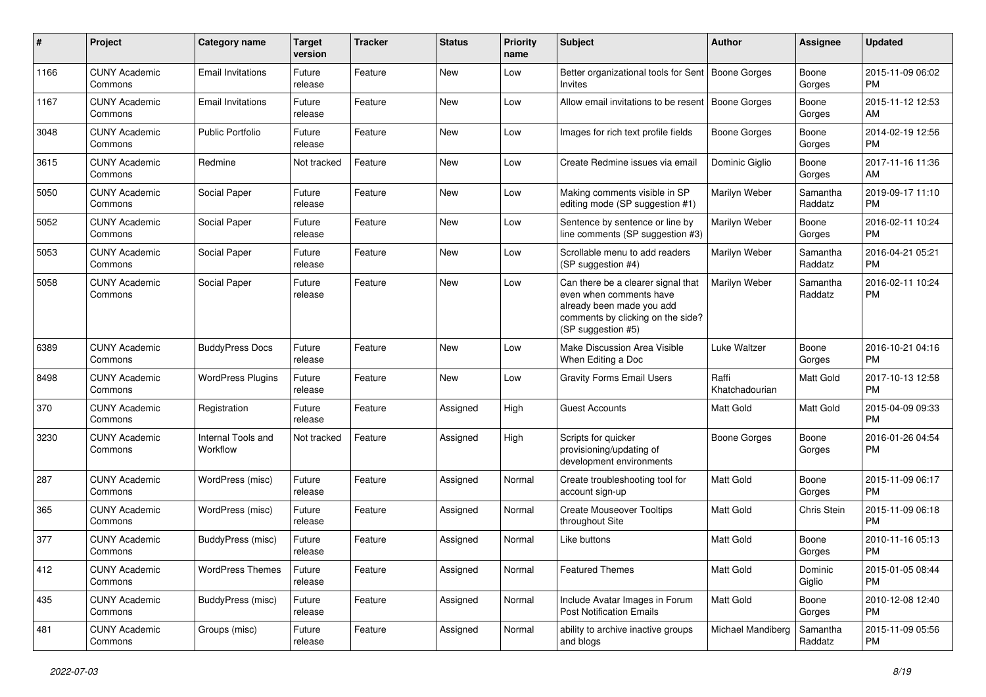| #    | Project                         | <b>Category name</b>           | <b>Target</b><br>version | <b>Tracker</b> | <b>Status</b> | Priority<br>name | <b>Subject</b>                                                                                                                                        | Author                  | <b>Assignee</b>     | <b>Updated</b>                |
|------|---------------------------------|--------------------------------|--------------------------|----------------|---------------|------------------|-------------------------------------------------------------------------------------------------------------------------------------------------------|-------------------------|---------------------|-------------------------------|
| 1166 | <b>CUNY Academic</b><br>Commons | <b>Email Invitations</b>       | Future<br>release        | Feature        | <b>New</b>    | Low              | Better organizational tools for Sent<br>Invites                                                                                                       | Boone Gorges            | Boone<br>Gorges     | 2015-11-09 06:02<br>PM.       |
| 1167 | <b>CUNY Academic</b><br>Commons | <b>Email Invitations</b>       | Future<br>release        | Feature        | New           | Low              | Allow email invitations to be resent                                                                                                                  | Boone Gorges            | Boone<br>Gorges     | 2015-11-12 12:53<br>AM.       |
| 3048 | <b>CUNY Academic</b><br>Commons | <b>Public Portfolio</b>        | Future<br>release        | Feature        | New           | Low              | Images for rich text profile fields                                                                                                                   | Boone Gorges            | Boone<br>Gorges     | 2014-02-19 12:56<br><b>PM</b> |
| 3615 | <b>CUNY Academic</b><br>Commons | Redmine                        | Not tracked              | Feature        | New           | Low              | Create Redmine issues via email                                                                                                                       | Dominic Giglio          | Boone<br>Gorges     | 2017-11-16 11:36<br>AM        |
| 5050 | <b>CUNY Academic</b><br>Commons | Social Paper                   | Future<br>release        | Feature        | <b>New</b>    | Low              | Making comments visible in SP<br>editing mode (SP suggestion #1)                                                                                      | Marilyn Weber           | Samantha<br>Raddatz | 2019-09-17 11:10<br><b>PM</b> |
| 5052 | <b>CUNY Academic</b><br>Commons | Social Paper                   | Future<br>release        | Feature        | New           | Low              | Sentence by sentence or line by<br>line comments (SP suggestion #3)                                                                                   | Marilyn Weber           | Boone<br>Gorges     | 2016-02-11 10:24<br><b>PM</b> |
| 5053 | <b>CUNY Academic</b><br>Commons | Social Paper                   | Future<br>release        | Feature        | New           | Low              | Scrollable menu to add readers<br>(SP suggestion #4)                                                                                                  | Marilyn Weber           | Samantha<br>Raddatz | 2016-04-21 05:21<br><b>PM</b> |
| 5058 | <b>CUNY Academic</b><br>Commons | Social Paper                   | Future<br>release        | Feature        | New           | Low              | Can there be a clearer signal that<br>even when comments have<br>already been made you add<br>comments by clicking on the side?<br>(SP suggestion #5) | Marilyn Weber           | Samantha<br>Raddatz | 2016-02-11 10:24<br><b>PM</b> |
| 6389 | <b>CUNY Academic</b><br>Commons | <b>BuddyPress Docs</b>         | Future<br>release        | Feature        | New           | Low              | Make Discussion Area Visible<br>When Editing a Doc                                                                                                    | Luke Waltzer            | Boone<br>Gorges     | 2016-10-21 04:16<br><b>PM</b> |
| 8498 | <b>CUNY Academic</b><br>Commons | <b>WordPress Plugins</b>       | Future<br>release        | Feature        | New           | Low              | <b>Gravity Forms Email Users</b>                                                                                                                      | Raffi<br>Khatchadourian | Matt Gold           | 2017-10-13 12:58<br><b>PM</b> |
| 370  | <b>CUNY Academic</b><br>Commons | Registration                   | Future<br>release        | Feature        | Assigned      | High             | <b>Guest Accounts</b>                                                                                                                                 | Matt Gold               | Matt Gold           | 2015-04-09 09:33<br><b>PM</b> |
| 3230 | <b>CUNY Academic</b><br>Commons | Internal Tools and<br>Workflow | Not tracked              | Feature        | Assigned      | High             | Scripts for quicker<br>provisioning/updating of<br>development environments                                                                           | <b>Boone Gorges</b>     | Boone<br>Gorges     | 2016-01-26 04:54<br>PM.       |
| 287  | <b>CUNY Academic</b><br>Commons | WordPress (misc)               | Future<br>release        | Feature        | Assigned      | Normal           | Create troubleshooting tool for<br>account sign-up                                                                                                    | <b>Matt Gold</b>        | Boone<br>Gorges     | 2015-11-09 06:17<br>PM.       |
| 365  | <b>CUNY Academic</b><br>Commons | WordPress (misc)               | Future<br>release        | Feature        | Assigned      | Normal           | <b>Create Mouseover Tooltips</b><br>throughout Site                                                                                                   | <b>Matt Gold</b>        | Chris Stein         | 2015-11-09 06:18<br><b>PM</b> |
| 377  | <b>CUNY Academic</b><br>Commons | <b>BuddyPress (misc)</b>       | Future<br>release        | Feature        | Assigned      | Normal           | Like buttons                                                                                                                                          | Matt Gold               | Boone<br>Gorges     | 2010-11-16 05:13<br><b>PM</b> |
| 412  | <b>CUNY Academic</b><br>Commons | <b>WordPress Themes</b>        | Future<br>release        | Feature        | Assigned      | Normal           | <b>Featured Themes</b>                                                                                                                                | Matt Gold               | Dominic<br>Giglio   | 2015-01-05 08:44<br><b>PM</b> |
| 435  | <b>CUNY Academic</b><br>Commons | <b>BuddyPress (misc)</b>       | Future<br>release        | Feature        | Assigned      | Normal           | Include Avatar Images in Forum<br><b>Post Notification Emails</b>                                                                                     | Matt Gold               | Boone<br>Gorges     | 2010-12-08 12:40<br><b>PM</b> |
| 481  | <b>CUNY Academic</b><br>Commons | Groups (misc)                  | Future<br>release        | Feature        | Assigned      | Normal           | ability to archive inactive groups<br>and blogs                                                                                                       | Michael Mandiberg       | Samantha<br>Raddatz | 2015-11-09 05:56<br>PM        |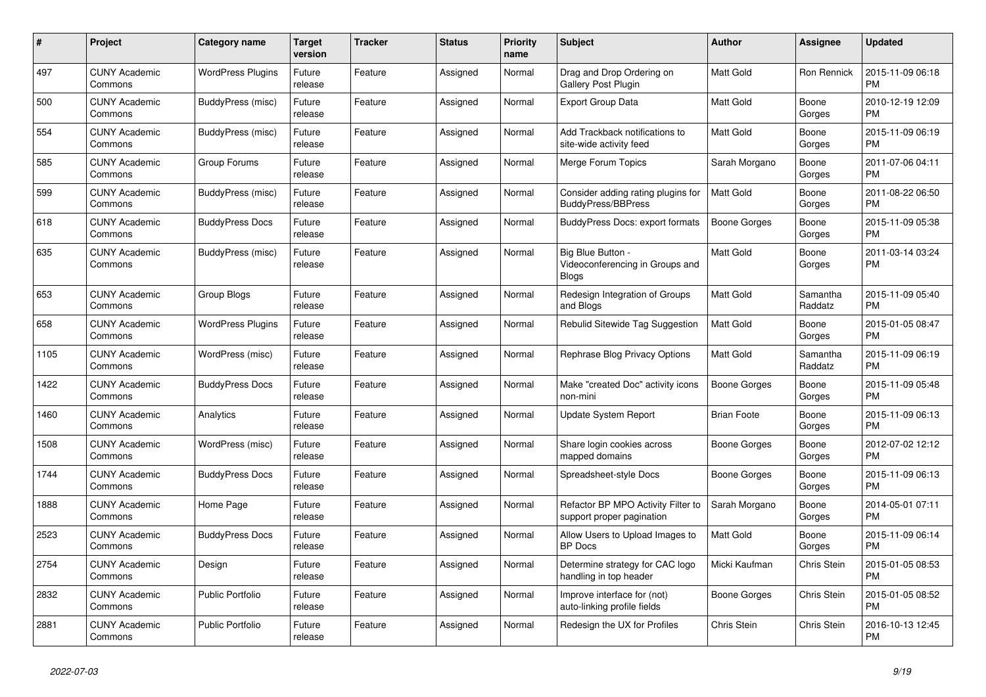| #    | <b>Project</b>                  | Category name            | <b>Target</b><br>version | <b>Tracker</b> | <b>Status</b> | <b>Priority</b><br>name | <b>Subject</b>                                                       | <b>Author</b>       | Assignee            | <b>Updated</b>                |
|------|---------------------------------|--------------------------|--------------------------|----------------|---------------|-------------------------|----------------------------------------------------------------------|---------------------|---------------------|-------------------------------|
| 497  | <b>CUNY Academic</b><br>Commons | <b>WordPress Plugins</b> | Future<br>release        | Feature        | Assigned      | Normal                  | Drag and Drop Ordering on<br>Gallery Post Plugin                     | <b>Matt Gold</b>    | Ron Rennick         | 2015-11-09 06:18<br><b>PM</b> |
| 500  | <b>CUNY Academic</b><br>Commons | BuddyPress (misc)        | Future<br>release        | Feature        | Assigned      | Normal                  | Export Group Data                                                    | Matt Gold           | Boone<br>Gorges     | 2010-12-19 12:09<br><b>PM</b> |
| 554  | <b>CUNY Academic</b><br>Commons | BuddyPress (misc)        | Future<br>release        | Feature        | Assigned      | Normal                  | Add Trackback notifications to<br>site-wide activity feed            | <b>Matt Gold</b>    | Boone<br>Gorges     | 2015-11-09 06:19<br><b>PM</b> |
| 585  | <b>CUNY Academic</b><br>Commons | Group Forums             | Future<br>release        | Feature        | Assigned      | Normal                  | Merge Forum Topics                                                   | Sarah Morgano       | Boone<br>Gorges     | 2011-07-06 04:11<br><b>PM</b> |
| 599  | <b>CUNY Academic</b><br>Commons | BuddyPress (misc)        | Future<br>release        | Feature        | Assigned      | Normal                  | Consider adding rating plugins for<br><b>BuddyPress/BBPress</b>      | <b>Matt Gold</b>    | Boone<br>Gorges     | 2011-08-22 06:50<br><b>PM</b> |
| 618  | <b>CUNY Academic</b><br>Commons | <b>BuddyPress Docs</b>   | Future<br>release        | Feature        | Assigned      | Normal                  | <b>BuddyPress Docs: export formats</b>                               | Boone Gorges        | Boone<br>Gorges     | 2015-11-09 05:38<br><b>PM</b> |
| 635  | <b>CUNY Academic</b><br>Commons | BuddyPress (misc)        | Future<br>release        | Feature        | Assigned      | Normal                  | Big Blue Button -<br>Videoconferencing in Groups and<br><b>Blogs</b> | <b>Matt Gold</b>    | Boone<br>Gorges     | 2011-03-14 03:24<br><b>PM</b> |
| 653  | <b>CUNY Academic</b><br>Commons | Group Blogs              | Future<br>release        | Feature        | Assigned      | Normal                  | Redesign Integration of Groups<br>and Blogs                          | Matt Gold           | Samantha<br>Raddatz | 2015-11-09 05:40<br><b>PM</b> |
| 658  | <b>CUNY Academic</b><br>Commons | <b>WordPress Plugins</b> | Future<br>release        | Feature        | Assigned      | Normal                  | Rebulid Sitewide Tag Suggestion                                      | <b>Matt Gold</b>    | Boone<br>Gorges     | 2015-01-05 08:47<br><b>PM</b> |
| 1105 | <b>CUNY Academic</b><br>Commons | WordPress (misc)         | Future<br>release        | Feature        | Assigned      | Normal                  | Rephrase Blog Privacy Options                                        | Matt Gold           | Samantha<br>Raddatz | 2015-11-09 06:19<br><b>PM</b> |
| 1422 | <b>CUNY Academic</b><br>Commons | <b>BuddyPress Docs</b>   | Future<br>release        | Feature        | Assigned      | Normal                  | Make "created Doc" activity icons<br>non-mini                        | <b>Boone Gorges</b> | Boone<br>Gorges     | 2015-11-09 05:48<br><b>PM</b> |
| 1460 | <b>CUNY Academic</b><br>Commons | Analytics                | Future<br>release        | Feature        | Assigned      | Normal                  | Update System Report                                                 | <b>Brian Foote</b>  | Boone<br>Gorges     | 2015-11-09 06:13<br><b>PM</b> |
| 1508 | <b>CUNY Academic</b><br>Commons | WordPress (misc)         | Future<br>release        | Feature        | Assigned      | Normal                  | Share login cookies across<br>mapped domains                         | Boone Gorges        | Boone<br>Gorges     | 2012-07-02 12:12<br><b>PM</b> |
| 1744 | <b>CUNY Academic</b><br>Commons | <b>BuddyPress Docs</b>   | Future<br>release        | Feature        | Assigned      | Normal                  | Spreadsheet-style Docs                                               | Boone Gorges        | Boone<br>Gorges     | 2015-11-09 06:13<br><b>PM</b> |
| 1888 | <b>CUNY Academic</b><br>Commons | Home Page                | Future<br>release        | Feature        | Assigned      | Normal                  | Refactor BP MPO Activity Filter to<br>support proper pagination      | Sarah Morgano       | Boone<br>Gorges     | 2014-05-01 07:11<br><b>PM</b> |
| 2523 | <b>CUNY Academic</b><br>Commons | <b>BuddyPress Docs</b>   | Future<br>release        | Feature        | Assigned      | Normal                  | Allow Users to Upload Images to<br><b>BP</b> Docs                    | Matt Gold           | Boone<br>Gorges     | 2015-11-09 06:14<br><b>PM</b> |
| 2754 | <b>CUNY Academic</b><br>Commons | Design                   | Future<br>release        | Feature        | Assigned      | Normal                  | Determine strategy for CAC logo<br>handling in top header            | Micki Kaufman       | Chris Stein         | 2015-01-05 08:53<br><b>PM</b> |
| 2832 | <b>CUNY Academic</b><br>Commons | <b>Public Portfolio</b>  | Future<br>release        | Feature        | Assigned      | Normal                  | Improve interface for (not)<br>auto-linking profile fields           | Boone Gorges        | Chris Stein         | 2015-01-05 08:52<br><b>PM</b> |
| 2881 | <b>CUNY Academic</b><br>Commons | <b>Public Portfolio</b>  | Future<br>release        | Feature        | Assigned      | Normal                  | Redesign the UX for Profiles                                         | Chris Stein         | Chris Stein         | 2016-10-13 12:45<br><b>PM</b> |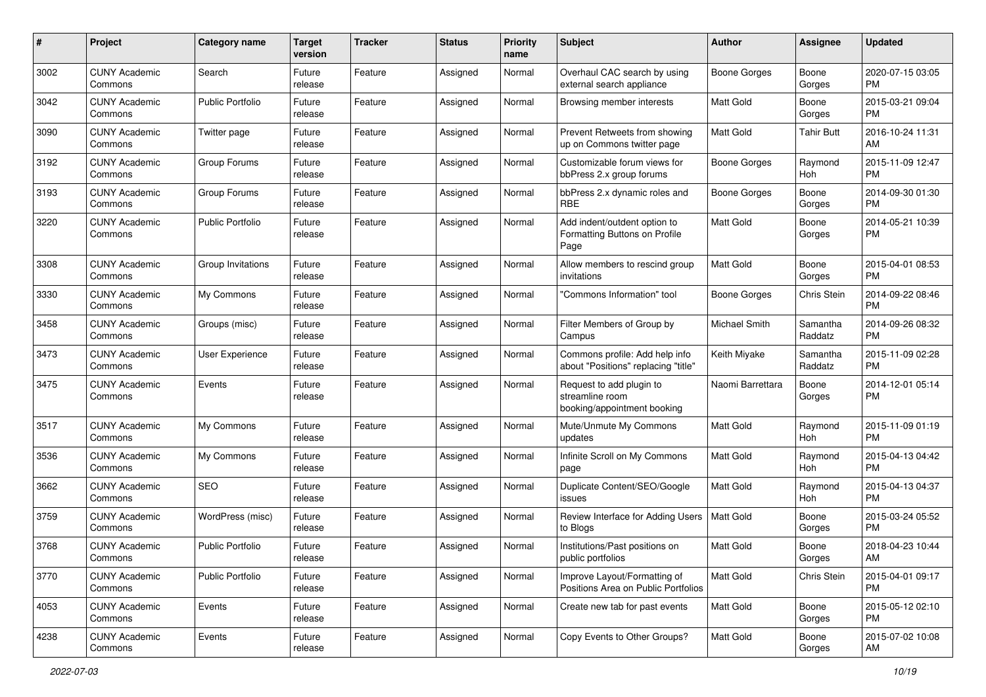| #    | Project                         | <b>Category name</b>    | <b>Target</b><br>version | <b>Tracker</b> | <b>Status</b> | <b>Priority</b><br>name | Subject                                                                    | Author              | Assignee            | <b>Updated</b>                |
|------|---------------------------------|-------------------------|--------------------------|----------------|---------------|-------------------------|----------------------------------------------------------------------------|---------------------|---------------------|-------------------------------|
| 3002 | <b>CUNY Academic</b><br>Commons | Search                  | Future<br>release        | Feature        | Assigned      | Normal                  | Overhaul CAC search by using<br>external search appliance                  | Boone Gorges        | Boone<br>Gorges     | 2020-07-15 03:05<br><b>PM</b> |
| 3042 | <b>CUNY Academic</b><br>Commons | <b>Public Portfolio</b> | Future<br>release        | Feature        | Assigned      | Normal                  | Browsing member interests                                                  | Matt Gold           | Boone<br>Gorges     | 2015-03-21 09:04<br><b>PM</b> |
| 3090 | CUNY Academic<br>Commons        | Twitter page            | Future<br>release        | Feature        | Assigned      | Normal                  | Prevent Retweets from showing<br>up on Commons twitter page                | Matt Gold           | Tahir Butt          | 2016-10-24 11:31<br>AM        |
| 3192 | <b>CUNY Academic</b><br>Commons | Group Forums            | Future<br>release        | Feature        | Assigned      | Normal                  | Customizable forum views for<br>bbPress 2.x group forums                   | <b>Boone Gorges</b> | Raymond<br>Hoh      | 2015-11-09 12:47<br><b>PM</b> |
| 3193 | <b>CUNY Academic</b><br>Commons | Group Forums            | Future<br>release        | Feature        | Assigned      | Normal                  | bbPress 2.x dynamic roles and<br><b>RBE</b>                                | Boone Gorges        | Boone<br>Gorges     | 2014-09-30 01:30<br><b>PM</b> |
| 3220 | <b>CUNY Academic</b><br>Commons | <b>Public Portfolio</b> | Future<br>release        | Feature        | Assigned      | Normal                  | Add indent/outdent option to<br>Formatting Buttons on Profile<br>Page      | Matt Gold           | Boone<br>Gorges     | 2014-05-21 10:39<br><b>PM</b> |
| 3308 | <b>CUNY Academic</b><br>Commons | Group Invitations       | Future<br>release        | Feature        | Assigned      | Normal                  | Allow members to rescind group<br>invitations                              | Matt Gold           | Boone<br>Gorges     | 2015-04-01 08:53<br><b>PM</b> |
| 3330 | <b>CUNY Academic</b><br>Commons | My Commons              | Future<br>release        | Feature        | Assigned      | Normal                  | "Commons Information" tool                                                 | Boone Gorges        | Chris Stein         | 2014-09-22 08:46<br><b>PM</b> |
| 3458 | <b>CUNY Academic</b><br>Commons | Groups (misc)           | Future<br>release        | Feature        | Assigned      | Normal                  | Filter Members of Group by<br>Campus                                       | Michael Smith       | Samantha<br>Raddatz | 2014-09-26 08:32<br><b>PM</b> |
| 3473 | <b>CUNY Academic</b><br>Commons | <b>User Experience</b>  | Future<br>release        | Feature        | Assigned      | Normal                  | Commons profile: Add help info<br>about "Positions" replacing "title"      | Keith Miyake        | Samantha<br>Raddatz | 2015-11-09 02:28<br><b>PM</b> |
| 3475 | <b>CUNY Academic</b><br>Commons | Events                  | Future<br>release        | Feature        | Assigned      | Normal                  | Request to add plugin to<br>streamline room<br>booking/appointment booking | Naomi Barrettara    | Boone<br>Gorges     | 2014-12-01 05:14<br>PM        |
| 3517 | <b>CUNY Academic</b><br>Commons | My Commons              | Future<br>release        | Feature        | Assigned      | Normal                  | Mute/Unmute My Commons<br>updates                                          | Matt Gold           | Raymond<br>Hoh      | 2015-11-09 01:19<br><b>PM</b> |
| 3536 | <b>CUNY Academic</b><br>Commons | My Commons              | Future<br>release        | Feature        | Assigned      | Normal                  | Infinite Scroll on My Commons<br>page                                      | <b>Matt Gold</b>    | Raymond<br>Hoh      | 2015-04-13 04:42<br><b>PM</b> |
| 3662 | <b>CUNY Academic</b><br>Commons | SEO                     | Future<br>release        | Feature        | Assigned      | Normal                  | Duplicate Content/SEO/Google<br>issues                                     | <b>Matt Gold</b>    | Raymond<br>Hoh      | 2015-04-13 04:37<br><b>PM</b> |
| 3759 | <b>CUNY Academic</b><br>Commons | WordPress (misc)        | Future<br>release        | Feature        | Assigned      | Normal                  | Review Interface for Adding Users   Matt Gold<br>to Blogs                  |                     | Boone<br>Gorges     | 2015-03-24 05:52<br><b>PM</b> |
| 3768 | CUNY Academic<br>Commons        | <b>Public Portfolio</b> | Future<br>release        | Feature        | Assigned      | Normal                  | Institutions/Past positions on<br>public portfolios                        | Matt Gold           | Boone<br>Gorges     | 2018-04-23 10:44<br>AM        |
| 3770 | <b>CUNY Academic</b><br>Commons | <b>Public Portfolio</b> | Future<br>release        | Feature        | Assigned      | Normal                  | Improve Layout/Formatting of<br>Positions Area on Public Portfolios        | Matt Gold           | Chris Stein         | 2015-04-01 09:17<br><b>PM</b> |
| 4053 | <b>CUNY Academic</b><br>Commons | Events                  | Future<br>release        | Feature        | Assigned      | Normal                  | Create new tab for past events                                             | Matt Gold           | Boone<br>Gorges     | 2015-05-12 02:10<br>PM        |
| 4238 | <b>CUNY Academic</b><br>Commons | Events                  | Future<br>release        | Feature        | Assigned      | Normal                  | Copy Events to Other Groups?                                               | Matt Gold           | Boone<br>Gorges     | 2015-07-02 10:08<br>AM        |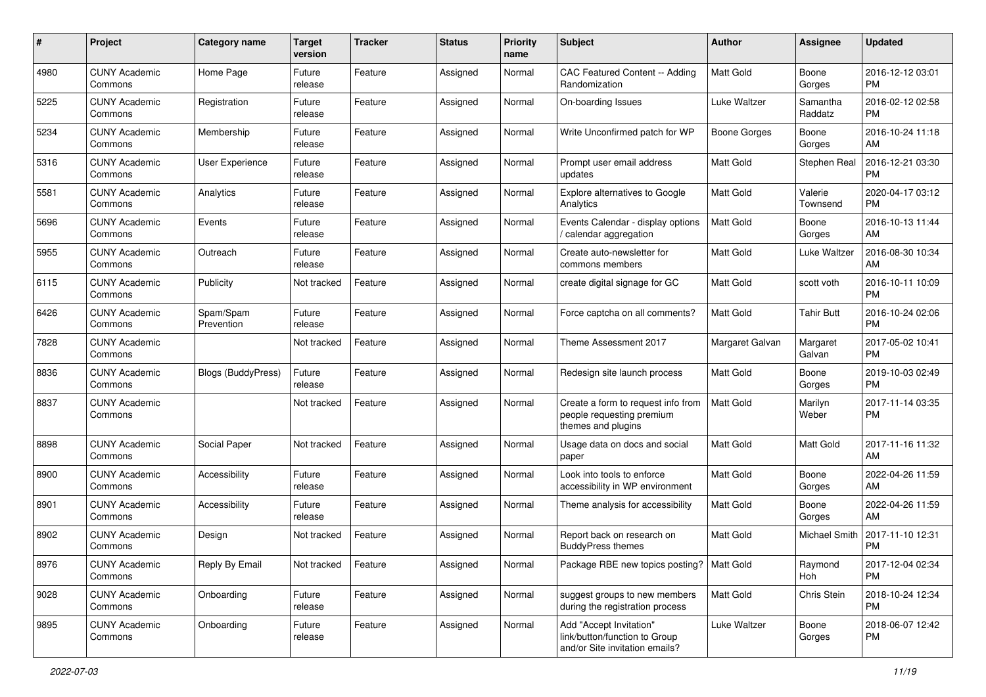| #    | Project                         | <b>Category name</b>    | <b>Target</b><br>version | <b>Tracker</b> | <b>Status</b> | Priority<br>name | <b>Subject</b>                                                                             | Author              | <b>Assignee</b>     | <b>Updated</b>                |
|------|---------------------------------|-------------------------|--------------------------|----------------|---------------|------------------|--------------------------------------------------------------------------------------------|---------------------|---------------------|-------------------------------|
| 4980 | <b>CUNY Academic</b><br>Commons | Home Page               | Future<br>release        | Feature        | Assigned      | Normal           | CAC Featured Content -- Adding<br>Randomization                                            | <b>Matt Gold</b>    | Boone<br>Gorges     | 2016-12-12 03:01<br><b>PM</b> |
| 5225 | <b>CUNY Academic</b><br>Commons | Registration            | Future<br>release        | Feature        | Assigned      | Normal           | On-boarding Issues                                                                         | Luke Waltzer        | Samantha<br>Raddatz | 2016-02-12 02:58<br><b>PM</b> |
| 5234 | <b>CUNY Academic</b><br>Commons | Membership              | Future<br>release        | Feature        | Assigned      | Normal           | Write Unconfirmed patch for WP                                                             | <b>Boone Gorges</b> | Boone<br>Gorges     | 2016-10-24 11:18<br>AM        |
| 5316 | <b>CUNY Academic</b><br>Commons | <b>User Experience</b>  | Future<br>release        | Feature        | Assigned      | Normal           | Prompt user email address<br>updates                                                       | Matt Gold           | Stephen Real        | 2016-12-21 03:30<br><b>PM</b> |
| 5581 | <b>CUNY Academic</b><br>Commons | Analytics               | Future<br>release        | Feature        | Assigned      | Normal           | Explore alternatives to Google<br>Analytics                                                | <b>Matt Gold</b>    | Valerie<br>Townsend | 2020-04-17 03:12<br><b>PM</b> |
| 5696 | <b>CUNY Academic</b><br>Commons | Events                  | Future<br>release        | Feature        | Assigned      | Normal           | Events Calendar - display options<br>/ calendar aggregation                                | <b>Matt Gold</b>    | Boone<br>Gorges     | 2016-10-13 11:44<br>AM        |
| 5955 | <b>CUNY Academic</b><br>Commons | Outreach                | Future<br>release        | Feature        | Assigned      | Normal           | Create auto-newsletter for<br>commons members                                              | Matt Gold           | Luke Waltzer        | 2016-08-30 10:34<br>AM        |
| 6115 | <b>CUNY Academic</b><br>Commons | Publicity               | Not tracked              | Feature        | Assigned      | Normal           | create digital signage for GC                                                              | <b>Matt Gold</b>    | scott voth          | 2016-10-11 10:09<br><b>PM</b> |
| 6426 | <b>CUNY Academic</b><br>Commons | Spam/Spam<br>Prevention | Future<br>release        | Feature        | Assigned      | Normal           | Force captcha on all comments?                                                             | Matt Gold           | <b>Tahir Butt</b>   | 2016-10-24 02:06<br><b>PM</b> |
| 7828 | <b>CUNY Academic</b><br>Commons |                         | Not tracked              | Feature        | Assigned      | Normal           | Theme Assessment 2017                                                                      | Margaret Galvan     | Margaret<br>Galvan  | 2017-05-02 10:41<br><b>PM</b> |
| 8836 | <b>CUNY Academic</b><br>Commons | Blogs (BuddyPress)      | Future<br>release        | Feature        | Assigned      | Normal           | Redesign site launch process                                                               | Matt Gold           | Boone<br>Gorges     | 2019-10-03 02:49<br><b>PM</b> |
| 8837 | <b>CUNY Academic</b><br>Commons |                         | Not tracked              | Feature        | Assigned      | Normal           | Create a form to request info from<br>people requesting premium<br>themes and plugins      | <b>Matt Gold</b>    | Marilyn<br>Weber    | 2017-11-14 03:35<br><b>PM</b> |
| 8898 | <b>CUNY Academic</b><br>Commons | Social Paper            | Not tracked              | Feature        | Assigned      | Normal           | Usage data on docs and social<br>paper                                                     | <b>Matt Gold</b>    | Matt Gold           | 2017-11-16 11:32<br>AM        |
| 8900 | <b>CUNY Academic</b><br>Commons | Accessibility           | Future<br>release        | Feature        | Assigned      | Normal           | Look into tools to enforce<br>accessibility in WP environment                              | Matt Gold           | Boone<br>Gorges     | 2022-04-26 11:59<br>AM        |
| 8901 | <b>CUNY Academic</b><br>Commons | Accessibility           | Future<br>release        | Feature        | Assigned      | Normal           | Theme analysis for accessibility                                                           | Matt Gold           | Boone<br>Gorges     | 2022-04-26 11:59<br>AM        |
| 8902 | <b>CUNY Academic</b><br>Commons | Design                  | Not tracked              | Feature        | Assigned      | Normal           | Report back on research on<br><b>BuddyPress themes</b>                                     | Matt Gold           | Michael Smith       | 2017-11-10 12:31<br><b>PM</b> |
| 8976 | <b>CUNY Academic</b><br>Commons | Reply By Email          | Not tracked              | Feature        | Assigned      | Normal           | Package RBE new topics posting?   Matt Gold                                                |                     | Raymond<br>Hoh      | 2017-12-04 02:34<br><b>PM</b> |
| 9028 | <b>CUNY Academic</b><br>Commons | Onboarding              | Future<br>release        | Feature        | Assigned      | Normal           | suggest groups to new members<br>during the registration process                           | Matt Gold           | Chris Stein         | 2018-10-24 12:34<br><b>PM</b> |
| 9895 | <b>CUNY Academic</b><br>Commons | Onboarding              | Future<br>release        | Feature        | Assigned      | Normal           | Add "Accept Invitation"<br>link/button/function to Group<br>and/or Site invitation emails? | Luke Waltzer        | Boone<br>Gorges     | 2018-06-07 12:42<br>PM        |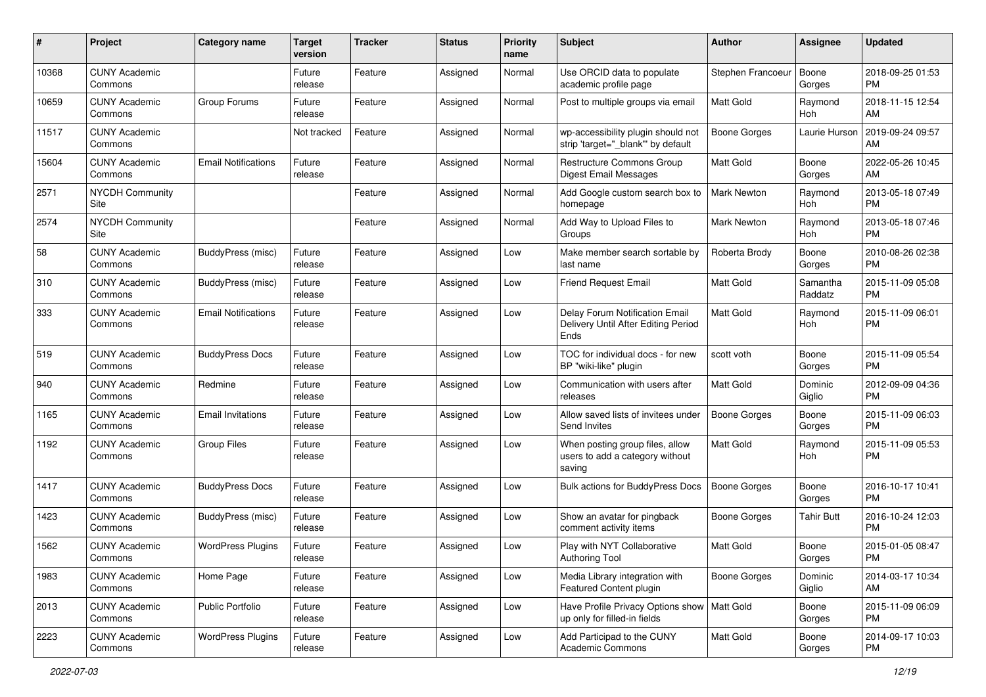| #     | Project                         | <b>Category name</b>       | <b>Target</b><br>version | <b>Tracker</b> | <b>Status</b> | <b>Priority</b><br>name | Subject                                                                       | <b>Author</b>       | <b>Assignee</b>     | <b>Updated</b>                |
|-------|---------------------------------|----------------------------|--------------------------|----------------|---------------|-------------------------|-------------------------------------------------------------------------------|---------------------|---------------------|-------------------------------|
| 10368 | <b>CUNY Academic</b><br>Commons |                            | Future<br>release        | Feature        | Assigned      | Normal                  | Use ORCID data to populate<br>academic profile page                           | Stephen Francoeur   | Boone<br>Gorges     | 2018-09-25 01:53<br>PM.       |
| 10659 | <b>CUNY Academic</b><br>Commons | Group Forums               | Future<br>release        | Feature        | Assigned      | Normal                  | Post to multiple groups via email                                             | Matt Gold           | Raymond<br>Hoh      | 2018-11-15 12:54<br>AM.       |
| 11517 | <b>CUNY Academic</b><br>Commons |                            | Not tracked              | Feature        | Assigned      | Normal                  | wp-accessibility plugin should not<br>strip 'target="_blank" by default       | Boone Gorges        | Laurie Hurson       | 2019-09-24 09:57<br>AM        |
| 15604 | <b>CUNY Academic</b><br>Commons | <b>Email Notifications</b> | Future<br>release        | Feature        | Assigned      | Normal                  | <b>Restructure Commons Group</b><br>Digest Email Messages                     | Matt Gold           | Boone<br>Gorges     | 2022-05-26 10:45<br>AM        |
| 2571  | <b>NYCDH Community</b><br>Site  |                            |                          | Feature        | Assigned      | Normal                  | Add Google custom search box to<br>homepage                                   | Mark Newton         | Raymond<br>Hoh      | 2013-05-18 07:49<br><b>PM</b> |
| 2574  | <b>NYCDH Community</b><br>Site  |                            |                          | Feature        | Assigned      | Normal                  | Add Way to Upload Files to<br>Groups                                          | Mark Newton         | Raymond<br>Hoh      | 2013-05-18 07:46<br><b>PM</b> |
| 58    | <b>CUNY Academic</b><br>Commons | BuddyPress (misc)          | Future<br>release        | Feature        | Assigned      | Low                     | Make member search sortable by<br>last name                                   | Roberta Brody       | Boone<br>Gorges     | 2010-08-26 02:38<br>PM.       |
| 310   | <b>CUNY Academic</b><br>Commons | <b>BuddyPress (misc)</b>   | Future<br>release        | Feature        | Assigned      | Low                     | Friend Request Email                                                          | <b>Matt Gold</b>    | Samantha<br>Raddatz | 2015-11-09 05:08<br>PM.       |
| 333   | <b>CUNY Academic</b><br>Commons | <b>Email Notifications</b> | Future<br>release        | Feature        | Assigned      | Low                     | Delay Forum Notification Email<br>Delivery Until After Editing Period<br>Ends | <b>Matt Gold</b>    | Raymond<br>Hoh      | 2015-11-09 06:01<br><b>PM</b> |
| 519   | <b>CUNY Academic</b><br>Commons | <b>BuddyPress Docs</b>     | Future<br>release        | Feature        | Assigned      | Low                     | TOC for individual docs - for new<br>BP "wiki-like" plugin                    | scott voth          | Boone<br>Gorges     | 2015-11-09 05:54<br>PM.       |
| 940   | <b>CUNY Academic</b><br>Commons | Redmine                    | Future<br>release        | Feature        | Assigned      | Low                     | Communication with users after<br>releases                                    | Matt Gold           | Dominic<br>Giglio   | 2012-09-09 04:36<br><b>PM</b> |
| 1165  | <b>CUNY Academic</b><br>Commons | <b>Email Invitations</b>   | Future<br>release        | Feature        | Assigned      | Low                     | Allow saved lists of invitees under<br>Send Invites                           | Boone Gorges        | Boone<br>Gorges     | 2015-11-09 06:03<br>PM.       |
| 1192  | <b>CUNY Academic</b><br>Commons | <b>Group Files</b>         | Future<br>release        | Feature        | Assigned      | Low                     | When posting group files, allow<br>users to add a category without<br>saving  | Matt Gold           | Raymond<br>Hoh      | 2015-11-09 05:53<br><b>PM</b> |
| 1417  | <b>CUNY Academic</b><br>Commons | <b>BuddyPress Docs</b>     | Future<br>release        | Feature        | Assigned      | Low                     | Bulk actions for BuddyPress Docs                                              | <b>Boone Gorges</b> | Boone<br>Gorges     | 2016-10-17 10:41<br><b>PM</b> |
| 1423  | <b>CUNY Academic</b><br>Commons | BuddyPress (misc)          | Future<br>release        | Feature        | Assigned      | Low                     | Show an avatar for pingback<br>comment activity items                         | Boone Gorges        | <b>Tahir Butt</b>   | 2016-10-24 12:03<br><b>PM</b> |
| 1562  | <b>CUNY Academic</b><br>Commons | <b>WordPress Plugins</b>   | Future<br>release        | Feature        | Assigned      | Low                     | Play with NYT Collaborative<br>Authoring Tool                                 | Matt Gold           | Boone<br>Gorges     | 2015-01-05 08:47<br>PM        |
| 1983  | <b>CUNY Academic</b><br>Commons | Home Page                  | Future<br>release        | Feature        | Assigned      | Low                     | Media Library integration with<br>Featured Content plugin                     | Boone Gorges        | Dominic<br>Giglio   | 2014-03-17 10:34<br>AM        |
| 2013  | <b>CUNY Academic</b><br>Commons | Public Portfolio           | Future<br>release        | Feature        | Assigned      | Low                     | Have Profile Privacy Options show   Matt Gold<br>up only for filled-in fields |                     | Boone<br>Gorges     | 2015-11-09 06:09<br><b>PM</b> |
| 2223  | <b>CUNY Academic</b><br>Commons | <b>WordPress Plugins</b>   | Future<br>release        | Feature        | Assigned      | Low                     | Add Participad to the CUNY<br>Academic Commons                                | Matt Gold           | Boone<br>Gorges     | 2014-09-17 10:03<br><b>PM</b> |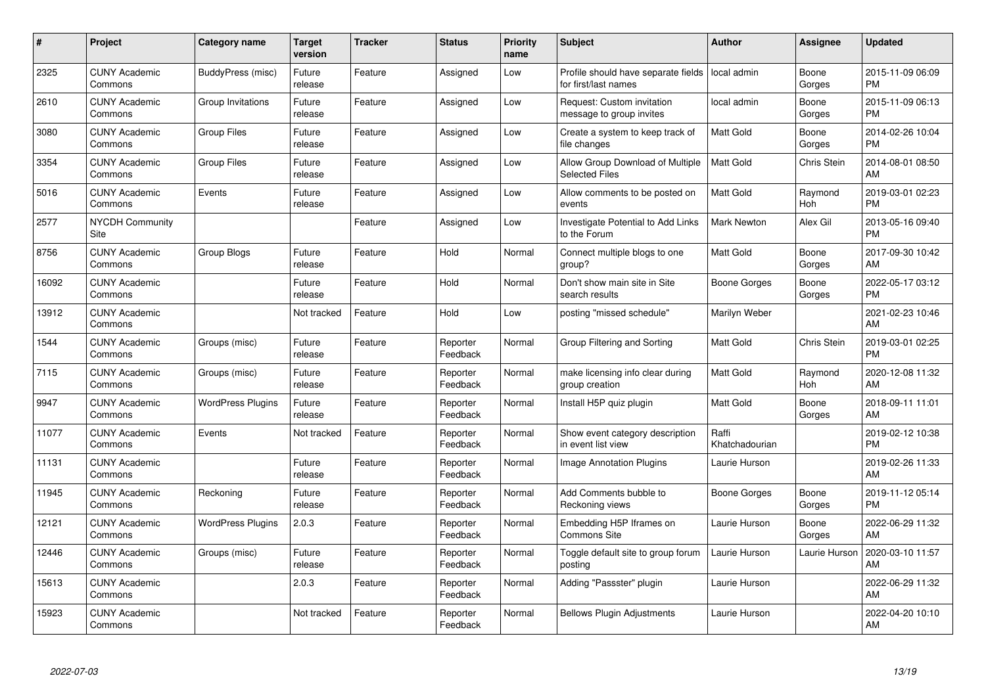| #     | <b>Project</b>                  | Category name            | <b>Target</b><br>version | <b>Tracker</b> | <b>Status</b>        | <b>Priority</b><br>name | <b>Subject</b>                                              | <b>Author</b>           | Assignee        | <b>Updated</b>                |
|-------|---------------------------------|--------------------------|--------------------------|----------------|----------------------|-------------------------|-------------------------------------------------------------|-------------------------|-----------------|-------------------------------|
| 2325  | <b>CUNY Academic</b><br>Commons | BuddyPress (misc)        | Future<br>release        | Feature        | Assigned             | Low                     | Profile should have separate fields<br>for first/last names | local admin             | Boone<br>Gorges | 2015-11-09 06:09<br><b>PM</b> |
| 2610  | <b>CUNY Academic</b><br>Commons | Group Invitations        | Future<br>release        | Feature        | Assigned             | Low                     | Request: Custom invitation<br>message to group invites      | local admin             | Boone<br>Gorges | 2015-11-09 06:13<br><b>PM</b> |
| 3080  | <b>CUNY Academic</b><br>Commons | <b>Group Files</b>       | Future<br>release        | Feature        | Assigned             | Low                     | Create a system to keep track of<br>file changes            | <b>Matt Gold</b>        | Boone<br>Gorges | 2014-02-26 10:04<br><b>PM</b> |
| 3354  | <b>CUNY Academic</b><br>Commons | <b>Group Files</b>       | Future<br>release        | Feature        | Assigned             | Low                     | Allow Group Download of Multiple<br><b>Selected Files</b>   | Matt Gold               | Chris Stein     | 2014-08-01 08:50<br>AM        |
| 5016  | <b>CUNY Academic</b><br>Commons | Events                   | Future<br>release        | Feature        | Assigned             | Low                     | Allow comments to be posted on<br>events                    | <b>Matt Gold</b>        | Raymond<br>Hoh  | 2019-03-01 02:23<br><b>PM</b> |
| 2577  | NYCDH Community<br>Site         |                          |                          | Feature        | Assigned             | Low                     | Investigate Potential to Add Links<br>to the Forum          | <b>Mark Newton</b>      | Alex Gil        | 2013-05-16 09:40<br><b>PM</b> |
| 8756  | <b>CUNY Academic</b><br>Commons | Group Blogs              | Future<br>release        | Feature        | Hold                 | Normal                  | Connect multiple blogs to one<br>group?                     | <b>Matt Gold</b>        | Boone<br>Gorges | 2017-09-30 10:42<br>AM        |
| 16092 | <b>CUNY Academic</b><br>Commons |                          | Future<br>release        | Feature        | Hold                 | Normal                  | Don't show main site in Site<br>search results              | Boone Gorges            | Boone<br>Gorges | 2022-05-17 03:12<br><b>PM</b> |
| 13912 | <b>CUNY Academic</b><br>Commons |                          | Not tracked              | Feature        | Hold                 | Low                     | posting "missed schedule"                                   | Marilyn Weber           |                 | 2021-02-23 10:46<br>AM        |
| 1544  | <b>CUNY Academic</b><br>Commons | Groups (misc)            | Future<br>release        | Feature        | Reporter<br>Feedback | Normal                  | Group Filtering and Sorting                                 | <b>Matt Gold</b>        | Chris Stein     | 2019-03-01 02:25<br><b>PM</b> |
| 7115  | <b>CUNY Academic</b><br>Commons | Groups (misc)            | Future<br>release        | Feature        | Reporter<br>Feedback | Normal                  | make licensing info clear during<br>group creation          | <b>Matt Gold</b>        | Raymond<br>Hoh  | 2020-12-08 11:32<br>AM        |
| 9947  | <b>CUNY Academic</b><br>Commons | <b>WordPress Plugins</b> | Future<br>release        | Feature        | Reporter<br>Feedback | Normal                  | Install H5P quiz plugin                                     | <b>Matt Gold</b>        | Boone<br>Gorges | 2018-09-11 11:01<br>AM        |
| 11077 | <b>CUNY Academic</b><br>Commons | Events                   | Not tracked              | Feature        | Reporter<br>Feedback | Normal                  | Show event category description<br>in event list view       | Raffi<br>Khatchadourian |                 | 2019-02-12 10:38<br><b>PM</b> |
| 11131 | <b>CUNY Academic</b><br>Commons |                          | Future<br>release        | Feature        | Reporter<br>Feedback | Normal                  | Image Annotation Plugins                                    | Laurie Hurson           |                 | 2019-02-26 11:33<br>AM        |
| 11945 | <b>CUNY Academic</b><br>Commons | Reckoning                | Future<br>release        | Feature        | Reporter<br>Feedback | Normal                  | Add Comments bubble to<br>Reckoning views                   | Boone Gorges            | Boone<br>Gorges | 2019-11-12 05:14<br><b>PM</b> |
| 12121 | <b>CUNY Academic</b><br>Commons | <b>WordPress Plugins</b> | 2.0.3                    | Feature        | Reporter<br>Feedback | Normal                  | Embedding H5P Iframes on<br><b>Commons Site</b>             | Laurie Hurson           | Boone<br>Gorges | 2022-06-29 11:32<br>AM        |
| 12446 | <b>CUNY Academic</b><br>Commons | Groups (misc)            | Future<br>release        | Feature        | Reporter<br>Feedback | Normal                  | Toggle default site to group forum<br>posting               | Laurie Hurson           | Laurie Hurson   | 2020-03-10 11:57<br>AM        |
| 15613 | <b>CUNY Academic</b><br>Commons |                          | 2.0.3                    | Feature        | Reporter<br>Feedback | Normal                  | Adding "Passster" plugin                                    | Laurie Hurson           |                 | 2022-06-29 11:32<br>AM        |
| 15923 | <b>CUNY Academic</b><br>Commons |                          | Not tracked              | Feature        | Reporter<br>Feedback | Normal                  | <b>Bellows Plugin Adjustments</b>                           | Laurie Hurson           |                 | 2022-04-20 10:10<br>AM        |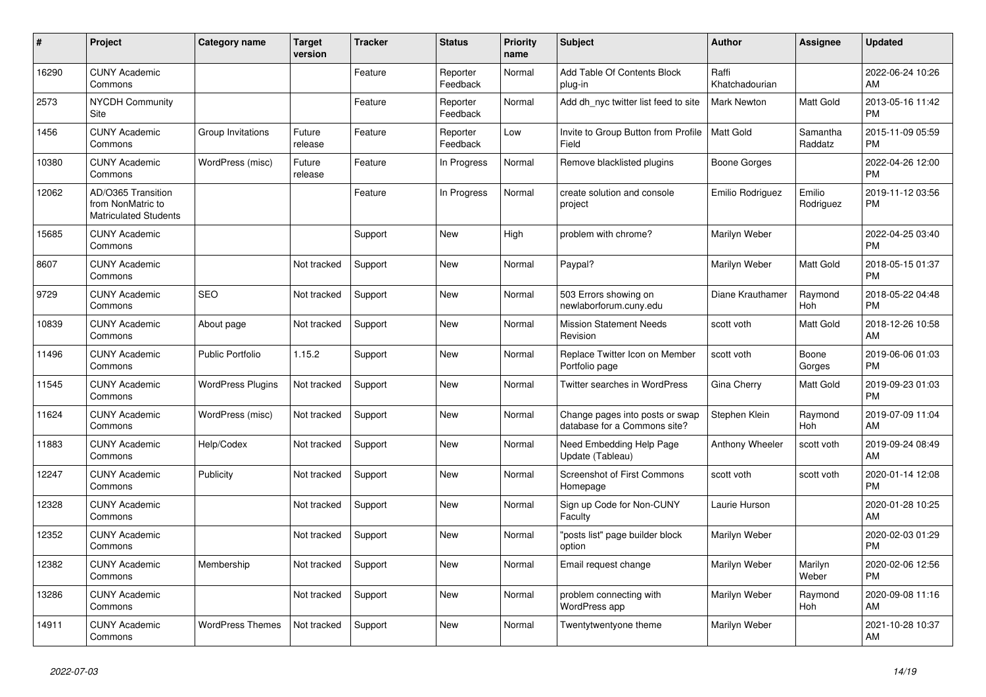| #     | Project                                                                 | <b>Category name</b>     | <b>Target</b><br>version | <b>Tracker</b> | <b>Status</b>        | <b>Priority</b><br>name | <b>Subject</b>                                                  | <b>Author</b>           | Assignee            | <b>Updated</b>                |
|-------|-------------------------------------------------------------------------|--------------------------|--------------------------|----------------|----------------------|-------------------------|-----------------------------------------------------------------|-------------------------|---------------------|-------------------------------|
| 16290 | <b>CUNY Academic</b><br>Commons                                         |                          |                          | Feature        | Reporter<br>Feedback | Normal                  | Add Table Of Contents Block<br>plug-in                          | Raffi<br>Khatchadourian |                     | 2022-06-24 10:26<br>AM        |
| 2573  | <b>NYCDH Community</b><br>Site                                          |                          |                          | Feature        | Reporter<br>Feedback | Normal                  | Add dh nyc twitter list feed to site                            | Mark Newton             | Matt Gold           | 2013-05-16 11:42<br><b>PM</b> |
| 1456  | <b>CUNY Academic</b><br>Commons                                         | Group Invitations        | Future<br>release        | Feature        | Reporter<br>Feedback | Low                     | Invite to Group Button from Profile<br>Field                    | Matt Gold               | Samantha<br>Raddatz | 2015-11-09 05:59<br><b>PM</b> |
| 10380 | <b>CUNY Academic</b><br>Commons                                         | WordPress (misc)         | Future<br>release        | Feature        | In Progress          | Normal                  | Remove blacklisted plugins                                      | Boone Gorges            |                     | 2022-04-26 12:00<br><b>PM</b> |
| 12062 | AD/O365 Transition<br>from NonMatric to<br><b>Matriculated Students</b> |                          |                          | Feature        | In Progress          | Normal                  | create solution and console<br>project                          | Emilio Rodriguez        | Emilio<br>Rodriguez | 2019-11-12 03:56<br><b>PM</b> |
| 15685 | <b>CUNY Academic</b><br>Commons                                         |                          |                          | Support        | <b>New</b>           | High                    | problem with chrome?                                            | Marilyn Weber           |                     | 2022-04-25 03:40<br><b>PM</b> |
| 8607  | <b>CUNY Academic</b><br>Commons                                         |                          | Not tracked              | Support        | New                  | Normal                  | Paypal?                                                         | Marilyn Weber           | Matt Gold           | 2018-05-15 01:37<br><b>PM</b> |
| 9729  | <b>CUNY Academic</b><br>Commons                                         | <b>SEO</b>               | Not tracked              | Support        | <b>New</b>           | Normal                  | 503 Errors showing on<br>newlaborforum.cuny.edu                 | Diane Krauthamer        | Raymond<br>Hoh      | 2018-05-22 04:48<br><b>PM</b> |
| 10839 | <b>CUNY Academic</b><br>Commons                                         | About page               | Not tracked              | Support        | <b>New</b>           | Normal                  | <b>Mission Statement Needs</b><br>Revision                      | scott voth              | Matt Gold           | 2018-12-26 10:58<br>AM        |
| 11496 | <b>CUNY Academic</b><br>Commons                                         | <b>Public Portfolio</b>  | 1.15.2                   | Support        | New                  | Normal                  | Replace Twitter Icon on Member<br>Portfolio page                | scott voth              | Boone<br>Gorges     | 2019-06-06 01:03<br><b>PM</b> |
| 11545 | <b>CUNY Academic</b><br>Commons                                         | <b>WordPress Plugins</b> | Not tracked              | Support        | New                  | Normal                  | Twitter searches in WordPress                                   | Gina Cherry             | Matt Gold           | 2019-09-23 01:03<br><b>PM</b> |
| 11624 | <b>CUNY Academic</b><br>Commons                                         | WordPress (misc)         | Not tracked              | Support        | <b>New</b>           | Normal                  | Change pages into posts or swap<br>database for a Commons site? | Stephen Klein           | Raymond<br>Hoh      | 2019-07-09 11:04<br>AM        |
| 11883 | <b>CUNY Academic</b><br>Commons                                         | Help/Codex               | Not tracked              | Support        | New                  | Normal                  | Need Embedding Help Page<br>Update (Tableau)                    | Anthony Wheeler         | scott voth          | 2019-09-24 08:49<br>AM        |
| 12247 | <b>CUNY Academic</b><br>Commons                                         | Publicity                | Not tracked              | Support        | New                  | Normal                  | Screenshot of First Commons<br>Homepage                         | scott voth              | scott voth          | 2020-01-14 12:08<br><b>PM</b> |
| 12328 | <b>CUNY Academic</b><br>Commons                                         |                          | Not tracked              | Support        | New                  | Normal                  | Sign up Code for Non-CUNY<br>Faculty                            | Laurie Hurson           |                     | 2020-01-28 10:25<br><b>AM</b> |
| 12352 | <b>CUNY Academic</b><br>Commons                                         |                          | Not tracked              | Support        | <b>New</b>           | Normal                  | "posts list" page builder block<br>option                       | Marilyn Weber           |                     | 2020-02-03 01:29<br><b>PM</b> |
| 12382 | <b>CUNY Academic</b><br>Commons                                         | Membership               | Not tracked              | Support        | <b>New</b>           | Normal                  | Email request change                                            | Marilyn Weber           | Marilyn<br>Weber    | 2020-02-06 12:56<br><b>PM</b> |
| 13286 | <b>CUNY Academic</b><br>Commons                                         |                          | Not tracked              | Support        | New                  | Normal                  | problem connecting with<br>WordPress app                        | Marilyn Weber           | Raymond<br>Hoh      | 2020-09-08 11:16<br>AM        |
| 14911 | <b>CUNY Academic</b><br>Commons                                         | <b>WordPress Themes</b>  | Not tracked              | Support        | <b>New</b>           | Normal                  | Twentytwentyone theme                                           | Marilyn Weber           |                     | 2021-10-28 10:37<br>AM        |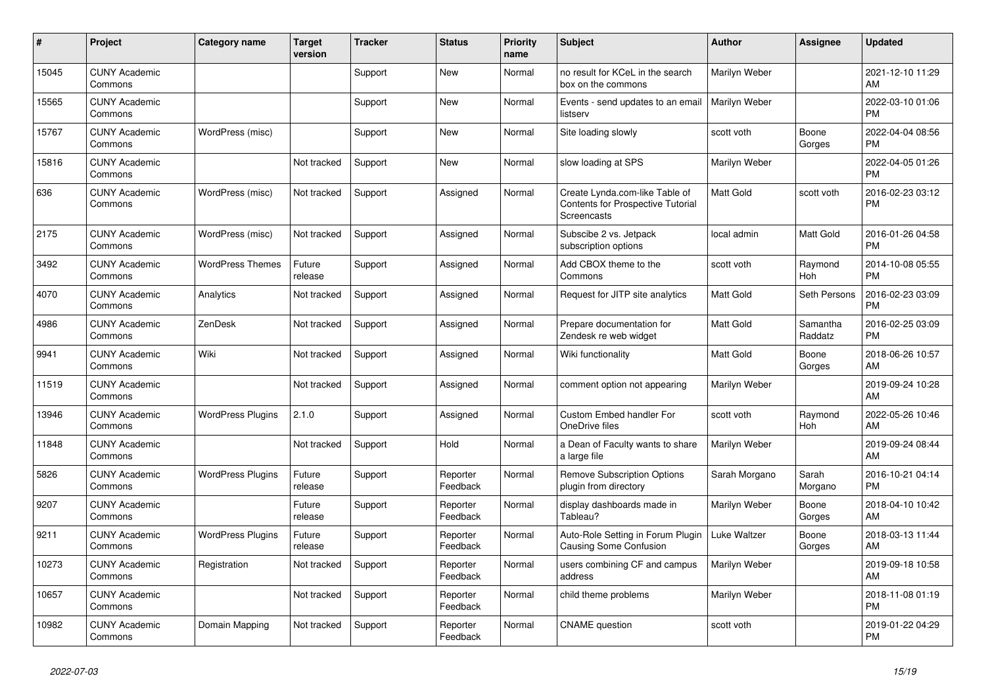| #     | Project                         | <b>Category name</b>     | <b>Target</b><br>version | <b>Tracker</b> | <b>Status</b>        | <b>Priority</b><br>name | <b>Subject</b>                                                                     | <b>Author</b>    | <b>Assignee</b>     | <b>Updated</b>                |
|-------|---------------------------------|--------------------------|--------------------------|----------------|----------------------|-------------------------|------------------------------------------------------------------------------------|------------------|---------------------|-------------------------------|
| 15045 | <b>CUNY Academic</b><br>Commons |                          |                          | Support        | New                  | Normal                  | no result for KCeL in the search<br>box on the commons                             | Marilyn Weber    |                     | 2021-12-10 11:29<br>AM        |
| 15565 | <b>CUNY Academic</b><br>Commons |                          |                          | Support        | New                  | Normal                  | Events - send updates to an email<br>listserv                                      | Marilyn Weber    |                     | 2022-03-10 01:06<br><b>PM</b> |
| 15767 | <b>CUNY Academic</b><br>Commons | WordPress (misc)         |                          | Support        | New                  | Normal                  | Site loading slowly                                                                | scott voth       | Boone<br>Gorges     | 2022-04-04 08:56<br><b>PM</b> |
| 15816 | <b>CUNY Academic</b><br>Commons |                          | Not tracked              | Support        | <b>New</b>           | Normal                  | slow loading at SPS                                                                | Marilyn Weber    |                     | 2022-04-05 01:26<br><b>PM</b> |
| 636   | <b>CUNY Academic</b><br>Commons | WordPress (misc)         | Not tracked              | Support        | Assigned             | Normal                  | Create Lynda.com-like Table of<br>Contents for Prospective Tutorial<br>Screencasts | <b>Matt Gold</b> | scott voth          | 2016-02-23 03:12<br><b>PM</b> |
| 2175  | <b>CUNY Academic</b><br>Commons | WordPress (misc)         | Not tracked              | Support        | Assigned             | Normal                  | Subscibe 2 vs. Jetpack<br>subscription options                                     | local admin      | Matt Gold           | 2016-01-26 04:58<br><b>PM</b> |
| 3492  | <b>CUNY Academic</b><br>Commons | <b>WordPress Themes</b>  | Future<br>release        | Support        | Assigned             | Normal                  | Add CBOX theme to the<br>Commons                                                   | scott voth       | Raymond<br>Hoh      | 2014-10-08 05:55<br><b>PM</b> |
| 4070  | <b>CUNY Academic</b><br>Commons | Analytics                | Not tracked              | Support        | Assigned             | Normal                  | Request for JITP site analytics                                                    | <b>Matt Gold</b> | Seth Persons        | 2016-02-23 03:09<br><b>PM</b> |
| 4986  | <b>CUNY Academic</b><br>Commons | ZenDesk                  | Not tracked              | Support        | Assigned             | Normal                  | Prepare documentation for<br>Zendesk re web widget                                 | <b>Matt Gold</b> | Samantha<br>Raddatz | 2016-02-25 03:09<br><b>PM</b> |
| 9941  | <b>CUNY Academic</b><br>Commons | Wiki                     | Not tracked              | Support        | Assigned             | Normal                  | Wiki functionality                                                                 | <b>Matt Gold</b> | Boone<br>Gorges     | 2018-06-26 10:57<br>AM        |
| 11519 | <b>CUNY Academic</b><br>Commons |                          | Not tracked              | Support        | Assigned             | Normal                  | comment option not appearing                                                       | Marilyn Weber    |                     | 2019-09-24 10:28<br>AM        |
| 13946 | <b>CUNY Academic</b><br>Commons | <b>WordPress Plugins</b> | 2.1.0                    | Support        | Assigned             | Normal                  | Custom Embed handler For<br>OneDrive files                                         | scott voth       | Raymond<br>Hoh      | 2022-05-26 10:46<br>AM        |
| 11848 | <b>CUNY Academic</b><br>Commons |                          | Not tracked              | Support        | Hold                 | Normal                  | a Dean of Faculty wants to share<br>a large file                                   | Marilyn Weber    |                     | 2019-09-24 08:44<br>AM        |
| 5826  | <b>CUNY Academic</b><br>Commons | <b>WordPress Plugins</b> | Future<br>release        | Support        | Reporter<br>Feedback | Normal                  | <b>Remove Subscription Options</b><br>plugin from directory                        | Sarah Morgano    | Sarah<br>Morgano    | 2016-10-21 04:14<br><b>PM</b> |
| 9207  | <b>CUNY Academic</b><br>Commons |                          | Future<br>release        | Support        | Reporter<br>Feedback | Normal                  | display dashboards made in<br>Tableau?                                             | Marilyn Weber    | Boone<br>Gorges     | 2018-04-10 10:42<br>AM        |
| 9211  | <b>CUNY Academic</b><br>Commons | <b>WordPress Plugins</b> | Future<br>release        | Support        | Reporter<br>Feedback | Normal                  | Auto-Role Setting in Forum Plugin<br><b>Causing Some Confusion</b>                 | Luke Waltzer     | Boone<br>Gorges     | 2018-03-13 11:44<br>AM        |
| 10273 | <b>CUNY Academic</b><br>Commons | Registration             | Not tracked              | Support        | Reporter<br>Feedback | Normal                  | users combining CF and campus<br>address                                           | Marilyn Weber    |                     | 2019-09-18 10:58<br>AM        |
| 10657 | <b>CUNY Academic</b><br>Commons |                          | Not tracked              | Support        | Reporter<br>Feedback | Normal                  | child theme problems                                                               | Marilyn Weber    |                     | 2018-11-08 01:19<br><b>PM</b> |
| 10982 | <b>CUNY Academic</b><br>Commons | Domain Mapping           | Not tracked              | Support        | Reporter<br>Feedback | Normal                  | <b>CNAME</b> question                                                              | scott voth       |                     | 2019-01-22 04:29<br><b>PM</b> |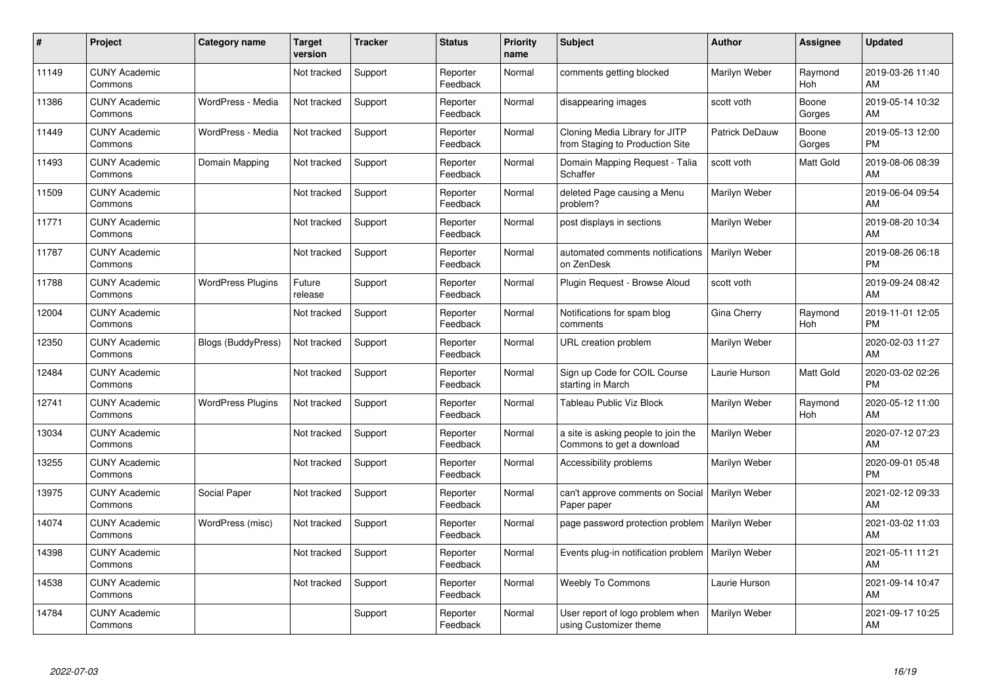| #     | Project                         | <b>Category name</b>      | <b>Target</b><br>version | <b>Tracker</b> | <b>Status</b>        | <b>Priority</b><br>name | <b>Subject</b>                                                    | <b>Author</b>         | <b>Assignee</b> | <b>Updated</b>                |
|-------|---------------------------------|---------------------------|--------------------------|----------------|----------------------|-------------------------|-------------------------------------------------------------------|-----------------------|-----------------|-------------------------------|
| 11149 | <b>CUNY Academic</b><br>Commons |                           | Not tracked              | Support        | Reporter<br>Feedback | Normal                  | comments getting blocked                                          | Marilyn Weber         | Raymond<br>Hoh  | 2019-03-26 11:40<br>AM        |
| 11386 | <b>CUNY Academic</b><br>Commons | WordPress - Media         | Not tracked              | Support        | Reporter<br>Feedback | Normal                  | disappearing images                                               | scott voth            | Boone<br>Gorges | 2019-05-14 10:32<br>AM        |
| 11449 | <b>CUNY Academic</b><br>Commons | WordPress - Media         | Not tracked              | Support        | Reporter<br>Feedback | Normal                  | Cloning Media Library for JITP<br>from Staging to Production Site | <b>Patrick DeDauw</b> | Boone<br>Gorges | 2019-05-13 12:00<br><b>PM</b> |
| 11493 | <b>CUNY Academic</b><br>Commons | Domain Mapping            | Not tracked              | Support        | Reporter<br>Feedback | Normal                  | Domain Mapping Request - Talia<br>Schaffer                        | scott voth            | Matt Gold       | 2019-08-06 08:39<br>AM        |
| 11509 | <b>CUNY Academic</b><br>Commons |                           | Not tracked              | Support        | Reporter<br>Feedback | Normal                  | deleted Page causing a Menu<br>problem?                           | Marilyn Weber         |                 | 2019-06-04 09:54<br>AM        |
| 11771 | <b>CUNY Academic</b><br>Commons |                           | Not tracked              | Support        | Reporter<br>Feedback | Normal                  | post displays in sections                                         | Marilyn Weber         |                 | 2019-08-20 10:34<br>AM        |
| 11787 | <b>CUNY Academic</b><br>Commons |                           | Not tracked              | Support        | Reporter<br>Feedback | Normal                  | automated comments notifications<br>on ZenDesk                    | Marilyn Weber         |                 | 2019-08-26 06:18<br><b>PM</b> |
| 11788 | <b>CUNY Academic</b><br>Commons | <b>WordPress Plugins</b>  | Future<br>release        | Support        | Reporter<br>Feedback | Normal                  | Plugin Request - Browse Aloud                                     | scott voth            |                 | 2019-09-24 08:42<br>AM        |
| 12004 | <b>CUNY Academic</b><br>Commons |                           | Not tracked              | Support        | Reporter<br>Feedback | Normal                  | Notifications for spam blog<br>comments                           | Gina Cherry           | Raymond<br>Hoh  | 2019-11-01 12:05<br><b>PM</b> |
| 12350 | <b>CUNY Academic</b><br>Commons | <b>Blogs (BuddyPress)</b> | Not tracked              | Support        | Reporter<br>Feedback | Normal                  | URL creation problem                                              | Marilyn Weber         |                 | 2020-02-03 11:27<br>AM        |
| 12484 | <b>CUNY Academic</b><br>Commons |                           | Not tracked              | Support        | Reporter<br>Feedback | Normal                  | Sign up Code for COIL Course<br>starting in March                 | Laurie Hurson         | Matt Gold       | 2020-03-02 02:26<br><b>PM</b> |
| 12741 | <b>CUNY Academic</b><br>Commons | <b>WordPress Plugins</b>  | Not tracked              | Support        | Reporter<br>Feedback | Normal                  | Tableau Public Viz Block                                          | Marilyn Weber         | Raymond<br>Hoh  | 2020-05-12 11:00<br>AM        |
| 13034 | <b>CUNY Academic</b><br>Commons |                           | Not tracked              | Support        | Reporter<br>Feedback | Normal                  | a site is asking people to join the<br>Commons to get a download  | Marilyn Weber         |                 | 2020-07-12 07:23<br>AM        |
| 13255 | <b>CUNY Academic</b><br>Commons |                           | Not tracked              | Support        | Reporter<br>Feedback | Normal                  | Accessibility problems                                            | Marilyn Weber         |                 | 2020-09-01 05:48<br><b>PM</b> |
| 13975 | <b>CUNY Academic</b><br>Commons | Social Paper              | Not tracked              | Support        | Reporter<br>Feedback | Normal                  | can't approve comments on Social   Marilyn Weber<br>Paper paper   |                       |                 | 2021-02-12 09:33<br>AM        |
| 14074 | <b>CUNY Academic</b><br>Commons | WordPress (misc)          | Not tracked              | Support        | Reporter<br>Feedback | Normal                  | page password protection problem   Marilyn Weber                  |                       |                 | 2021-03-02 11:03<br>AM        |
| 14398 | <b>CUNY Academic</b><br>Commons |                           | Not tracked              | Support        | Reporter<br>Feedback | Normal                  | Events plug-in notification problem   Marilyn Weber               |                       |                 | 2021-05-11 11:21<br>AM        |
| 14538 | <b>CUNY Academic</b><br>Commons |                           | Not tracked              | Support        | Reporter<br>Feedback | Normal                  | <b>Weebly To Commons</b>                                          | Laurie Hurson         |                 | 2021-09-14 10:47<br>AM        |
| 14784 | <b>CUNY Academic</b><br>Commons |                           |                          | Support        | Reporter<br>Feedback | Normal                  | User report of logo problem when<br>using Customizer theme        | Marilyn Weber         |                 | 2021-09-17 10:25<br>AM        |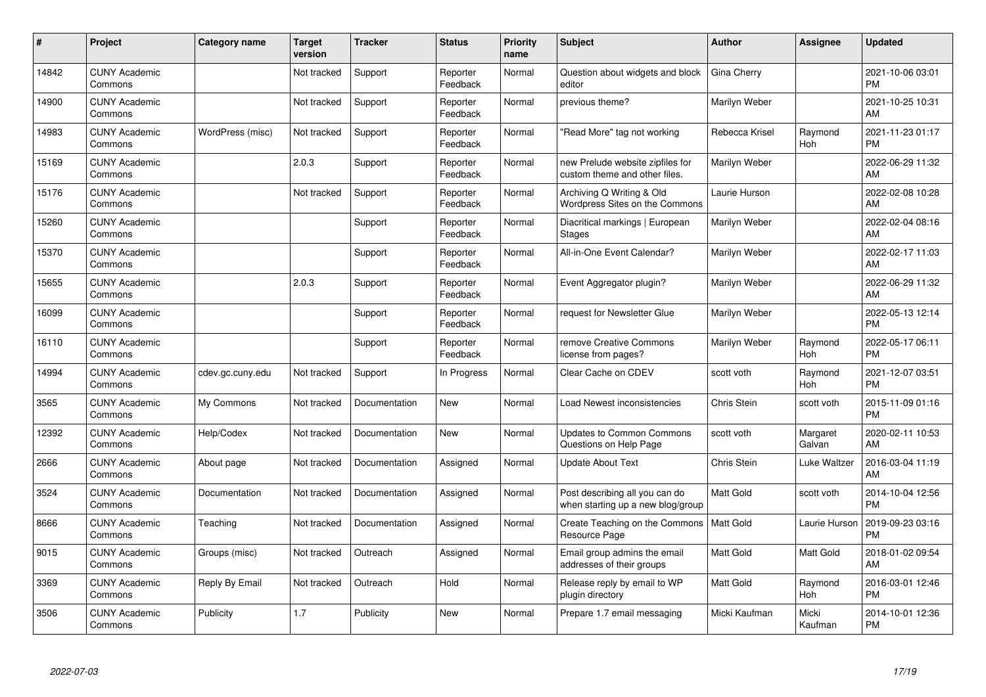| $\#$  | Project                         | <b>Category name</b> | <b>Target</b><br>version | <b>Tracker</b> | <b>Status</b>        | <b>Priority</b><br>name | <b>Subject</b>                                                      | <b>Author</b>    | <b>Assignee</b>    | <b>Updated</b>                |
|-------|---------------------------------|----------------------|--------------------------|----------------|----------------------|-------------------------|---------------------------------------------------------------------|------------------|--------------------|-------------------------------|
| 14842 | <b>CUNY Academic</b><br>Commons |                      | Not tracked              | Support        | Reporter<br>Feedback | Normal                  | Question about widgets and block<br>editor                          | Gina Cherry      |                    | 2021-10-06 03:01<br><b>PM</b> |
| 14900 | <b>CUNY Academic</b><br>Commons |                      | Not tracked              | Support        | Reporter<br>Feedback | Normal                  | previous theme?                                                     | Marilyn Weber    |                    | 2021-10-25 10:31<br>AM        |
| 14983 | <b>CUNY Academic</b><br>Commons | WordPress (misc)     | Not tracked              | Support        | Reporter<br>Feedback | Normal                  | 'Read More" tag not working                                         | Rebecca Krisel   | Raymond<br>Hoh     | 2021-11-23 01:17<br><b>PM</b> |
| 15169 | <b>CUNY Academic</b><br>Commons |                      | 2.0.3                    | Support        | Reporter<br>Feedback | Normal                  | new Prelude website zipfiles for<br>custom theme and other files.   | Marilyn Weber    |                    | 2022-06-29 11:32<br>AM        |
| 15176 | <b>CUNY Academic</b><br>Commons |                      | Not tracked              | Support        | Reporter<br>Feedback | Normal                  | Archiving Q Writing & Old<br>Wordpress Sites on the Commons         | Laurie Hurson    |                    | 2022-02-08 10:28<br>AM        |
| 15260 | <b>CUNY Academic</b><br>Commons |                      |                          | Support        | Reporter<br>Feedback | Normal                  | Diacritical markings   European<br><b>Stages</b>                    | Marilyn Weber    |                    | 2022-02-04 08:16<br>AM        |
| 15370 | <b>CUNY Academic</b><br>Commons |                      |                          | Support        | Reporter<br>Feedback | Normal                  | All-in-One Event Calendar?                                          | Marilyn Weber    |                    | 2022-02-17 11:03<br>AM        |
| 15655 | <b>CUNY Academic</b><br>Commons |                      | 2.0.3                    | Support        | Reporter<br>Feedback | Normal                  | Event Aggregator plugin?                                            | Marilyn Weber    |                    | 2022-06-29 11:32<br>AM        |
| 16099 | <b>CUNY Academic</b><br>Commons |                      |                          | Support        | Reporter<br>Feedback | Normal                  | request for Newsletter Glue                                         | Marilyn Weber    |                    | 2022-05-13 12:14<br><b>PM</b> |
| 16110 | <b>CUNY Academic</b><br>Commons |                      |                          | Support        | Reporter<br>Feedback | Normal                  | remove Creative Commons<br>license from pages?                      | Marilyn Weber    | Raymond<br>Hoh     | 2022-05-17 06:11<br><b>PM</b> |
| 14994 | <b>CUNY Academic</b><br>Commons | cdev.gc.cuny.edu     | Not tracked              | Support        | In Progress          | Normal                  | Clear Cache on CDEV                                                 | scott voth       | Raymond<br>Hoh     | 2021-12-07 03:51<br><b>PM</b> |
| 3565  | <b>CUNY Academic</b><br>Commons | My Commons           | Not tracked              | Documentation  | <b>New</b>           | Normal                  | Load Newest inconsistencies                                         | Chris Stein      | scott voth         | 2015-11-09 01:16<br><b>PM</b> |
| 12392 | <b>CUNY Academic</b><br>Commons | Help/Codex           | Not tracked              | Documentation  | <b>New</b>           | Normal                  | <b>Updates to Common Commons</b><br>Questions on Help Page          | scott voth       | Margaret<br>Galvan | 2020-02-11 10:53<br>AM        |
| 2666  | <b>CUNY Academic</b><br>Commons | About page           | Not tracked              | Documentation  | Assigned             | Normal                  | <b>Update About Text</b>                                            | Chris Stein      | Luke Waltzer       | 2016-03-04 11:19<br>AM        |
| 3524  | <b>CUNY Academic</b><br>Commons | Documentation        | Not tracked              | Documentation  | Assigned             | Normal                  | Post describing all you can do<br>when starting up a new blog/group | <b>Matt Gold</b> | scott voth         | 2014-10-04 12:56<br><b>PM</b> |
| 8666  | <b>CUNY Academic</b><br>Commons | Teaching             | Not tracked              | Documentation  | Assigned             | Normal                  | Create Teaching on the Commons   Matt Gold<br>Resource Page         |                  | Laurie Hurson      | 2019-09-23 03:16<br><b>PM</b> |
| 9015  | <b>CUNY Academic</b><br>Commons | Groups (misc)        | Not tracked              | Outreach       | Assigned             | Normal                  | Email group admins the email<br>addresses of their groups           | <b>Matt Gold</b> | Matt Gold          | 2018-01-02 09:54<br>AM        |
| 3369  | <b>CUNY Academic</b><br>Commons | Reply By Email       | Not tracked              | Outreach       | Hold                 | Normal                  | Release reply by email to WP<br>plugin directory                    | <b>Matt Gold</b> | Raymond<br>Hoh     | 2016-03-01 12:46<br><b>PM</b> |
| 3506  | <b>CUNY Academic</b><br>Commons | Publicity            | 1.7                      | Publicity      | <b>New</b>           | Normal                  | Prepare 1.7 email messaging                                         | Micki Kaufman    | Micki<br>Kaufman   | 2014-10-01 12:36<br><b>PM</b> |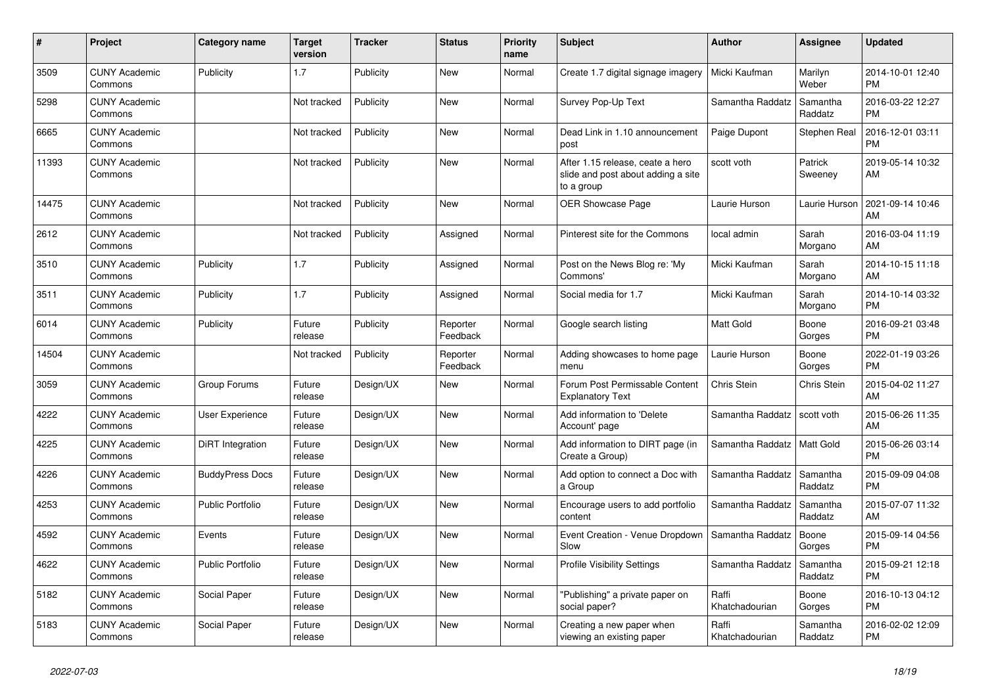| $\vert$ # | <b>Project</b>                  | <b>Category name</b>    | <b>Target</b><br>version | <b>Tracker</b> | <b>Status</b>        | Priority<br>name | <b>Subject</b>                                                                       | <b>Author</b>           | Assignee            | <b>Updated</b>                |
|-----------|---------------------------------|-------------------------|--------------------------|----------------|----------------------|------------------|--------------------------------------------------------------------------------------|-------------------------|---------------------|-------------------------------|
| 3509      | <b>CUNY Academic</b><br>Commons | Publicity               | 1.7                      | Publicity      | New                  | Normal           | Create 1.7 digital signage imagery                                                   | Micki Kaufman           | Marilyn<br>Weber    | 2014-10-01 12:40<br><b>PM</b> |
| 5298      | <b>CUNY Academic</b><br>Commons |                         | Not tracked              | Publicity      | New                  | Normal           | Survey Pop-Up Text                                                                   | Samantha Raddatz        | Samantha<br>Raddatz | 2016-03-22 12:27<br><b>PM</b> |
| 6665      | <b>CUNY Academic</b><br>Commons |                         | Not tracked              | Publicity      | <b>New</b>           | Normal           | Dead Link in 1.10 announcement<br>post                                               | Paige Dupont            | Stephen Real        | 2016-12-01 03:11<br><b>PM</b> |
| 11393     | <b>CUNY Academic</b><br>Commons |                         | Not tracked              | Publicity      | <b>New</b>           | Normal           | After 1.15 release, ceate a hero<br>slide and post about adding a site<br>to a group | scott voth              | Patrick<br>Sweeney  | 2019-05-14 10:32<br>AM        |
| 14475     | <b>CUNY Academic</b><br>Commons |                         | Not tracked              | Publicity      | <b>New</b>           | Normal           | <b>OER Showcase Page</b>                                                             | Laurie Hurson           | Laurie Hurson       | 2021-09-14 10:46<br>AM        |
| 2612      | <b>CUNY Academic</b><br>Commons |                         | Not tracked              | Publicity      | Assigned             | Normal           | Pinterest site for the Commons                                                       | local admin             | Sarah<br>Morgano    | 2016-03-04 11:19<br>AM        |
| 3510      | <b>CUNY Academic</b><br>Commons | Publicity               | 1.7                      | Publicity      | Assigned             | Normal           | Post on the News Blog re: 'My<br>Commons'                                            | Micki Kaufman           | Sarah<br>Morgano    | 2014-10-15 11:18<br>AM        |
| 3511      | <b>CUNY Academic</b><br>Commons | Publicity               | 1.7                      | Publicity      | Assigned             | Normal           | Social media for 1.7                                                                 | Micki Kaufman           | Sarah<br>Morgano    | 2014-10-14 03:32<br><b>PM</b> |
| 6014      | <b>CUNY Academic</b><br>Commons | Publicity               | Future<br>release        | Publicity      | Reporter<br>Feedback | Normal           | Google search listing                                                                | <b>Matt Gold</b>        | Boone<br>Gorges     | 2016-09-21 03:48<br><b>PM</b> |
| 14504     | <b>CUNY Academic</b><br>Commons |                         | Not tracked              | Publicity      | Reporter<br>Feedback | Normal           | Adding showcases to home page<br>menu                                                | Laurie Hurson           | Boone<br>Gorges     | 2022-01-19 03:26<br><b>PM</b> |
| 3059      | <b>CUNY Academic</b><br>Commons | Group Forums            | Future<br>release        | Design/UX      | New                  | Normal           | Forum Post Permissable Content<br><b>Explanatory Text</b>                            | Chris Stein             | Chris Stein         | 2015-04-02 11:27<br>AM        |
| 4222      | <b>CUNY Academic</b><br>Commons | User Experience         | Future<br>release        | Design/UX      | <b>New</b>           | Normal           | Add information to 'Delete<br>Account' page                                          | Samantha Raddatz        | scott voth          | 2015-06-26 11:35<br>AM        |
| 4225      | <b>CUNY Academic</b><br>Commons | DiRT Integration        | Future<br>release        | Design/UX      | <b>New</b>           | Normal           | Add information to DIRT page (in<br>Create a Group)                                  | Samantha Raddatz        | Matt Gold           | 2015-06-26 03:14<br><b>PM</b> |
| 4226      | <b>CUNY Academic</b><br>Commons | <b>BuddyPress Docs</b>  | Future<br>release        | Design/UX      | New                  | Normal           | Add option to connect a Doc with<br>a Group                                          | Samantha Raddatz        | Samantha<br>Raddatz | 2015-09-09 04:08<br><b>PM</b> |
| 4253      | <b>CUNY Academic</b><br>Commons | Public Portfolio        | Future<br>release        | Design/UX      | <b>New</b>           | Normal           | Encourage users to add portfolio<br>content                                          | Samantha Raddatz        | Samantha<br>Raddatz | 2015-07-07 11:32<br>AM        |
| 4592      | <b>CUNY Academic</b><br>Commons | Events                  | Future<br>release        | Design/UX      | <b>New</b>           | Normal           | Event Creation - Venue Dropdown<br>Slow                                              | Samantha Raddatz        | Boone<br>Gorges     | 2015-09-14 04:56<br><b>PM</b> |
| 4622      | <b>CUNY Academic</b><br>Commons | <b>Public Portfolio</b> | Future<br>release        | Design/UX      | New                  | Normal           | <b>Profile Visibility Settings</b>                                                   | Samantha Raddatz        | Samantha<br>Raddatz | 2015-09-21 12:18<br><b>PM</b> |
| 5182      | <b>CUNY Academic</b><br>Commons | Social Paper            | Future<br>release        | Design/UX      | New                  | Normal           | "Publishing" a private paper on<br>social paper?                                     | Raffi<br>Khatchadourian | Boone<br>Gorges     | 2016-10-13 04:12<br><b>PM</b> |
| 5183      | <b>CUNY Academic</b><br>Commons | Social Paper            | Future<br>release        | Design/UX      | <b>New</b>           | Normal           | Creating a new paper when<br>viewing an existing paper                               | Raffi<br>Khatchadourian | Samantha<br>Raddatz | 2016-02-02 12:09<br>PM        |